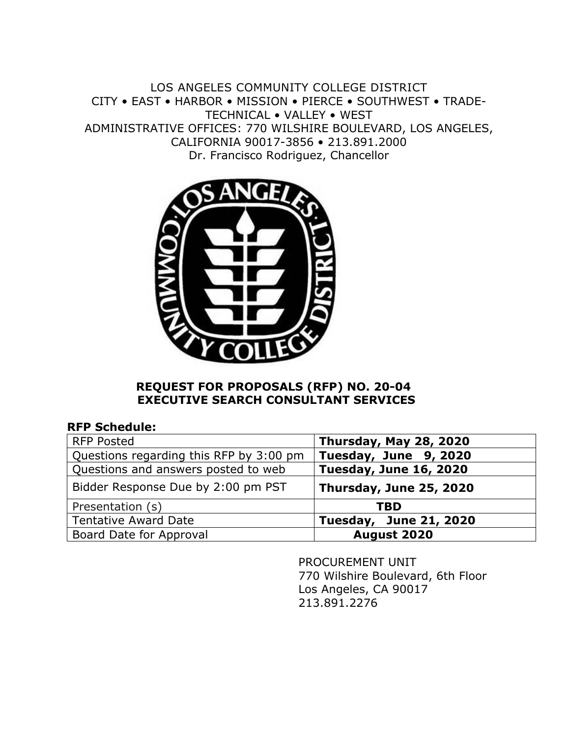LOS ANGELES COMMUNITY COLLEGE DISTRICT CITY • EAST • HARBOR • MISSION • PIERCE • SOUTHWEST • TRADE-TECHNICAL • VALLEY • WEST ADMINISTRATIVE OFFICES: 770 WILSHIRE BOULEVARD, LOS ANGELES, CALIFORNIA 90017-3856 • 213.891.2000 Dr. Francisco Rodriguez, Chancellor



### **REQUEST FOR PROPOSALS (RFP) NO. 20-04 EXECUTIVE SEARCH CONSULTANT SERVICES**

| <b>RFP Schedule:</b> |  |
|----------------------|--|
|----------------------|--|

| <b>RFP Posted</b>                       | Thursday, May 28, 2020        |
|-----------------------------------------|-------------------------------|
| Questions regarding this RFP by 3:00 pm | Tuesday, June 9, 2020         |
| Questions and answers posted to web     | <b>Tuesday, June 16, 2020</b> |
| Bidder Response Due by 2:00 pm PST      | Thursday, June 25, 2020       |
| Presentation (s)                        | TBD                           |
| <b>Tentative Award Date</b>             | <b>Tuesday, June 21, 2020</b> |
| Board Date for Approval                 | August 2020                   |

 PROCUREMENT UNIT 770 Wilshire Boulevard, 6th Floor Los Angeles, CA 90017 213.891.2276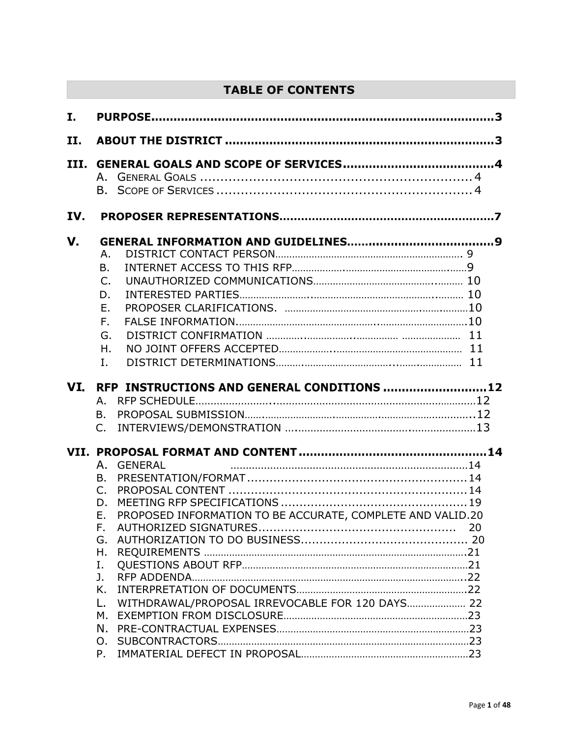# **TABLE OF CONTENTS**

| I.        |                                                                                                                                                                                                                                            |
|-----------|--------------------------------------------------------------------------------------------------------------------------------------------------------------------------------------------------------------------------------------------|
| II.       |                                                                                                                                                                                                                                            |
| III.      |                                                                                                                                                                                                                                            |
| IV.       |                                                                                                                                                                                                                                            |
| V.<br>VI. | Α.<br>В.<br>C.<br>D.<br>Ε.<br>F.<br>G.<br>Η.<br>I.<br>RFP INSTRUCTIONS AND GENERAL CONDITIONS  12<br>А.<br>Β.<br>$C_{\cdot}$                                                                                                               |
|           | <b>GENERAL</b><br>А.<br>B.<br>$C_{1}$<br>D.<br>PROPOSED INFORMATION TO BE ACCURATE, COMPLETE AND VALID.20<br>Ε.<br>F.<br>20<br>G.<br>Η.<br>Ι.<br>J.<br>Κ.<br>WITHDRAWAL/PROPOSAL IRREVOCABLE FOR 120 DAYS 22<br>L.<br>М.<br>N.<br>O.<br>P. |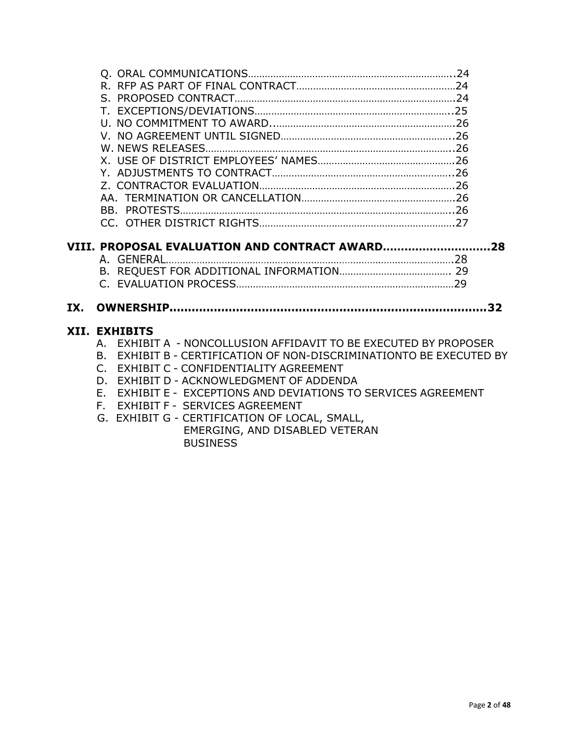| IX. |  |
|-----|--|
|     |  |
|     |  |
|     |  |
|     |  |
|     |  |
|     |  |
|     |  |
|     |  |
|     |  |
|     |  |
|     |  |
|     |  |
|     |  |
|     |  |
|     |  |
|     |  |
|     |  |

#### XII. EXHIBITS

- A. EXHIBIT A NONCOLLUSION AFFIDAVIT TO BE EXECUTED BY PROPOSER
- B. EXHIBIT B CERTIFICATION OF NON-DISCRIMINATIONTO BE EXECUTED BY
- C. EXHIBIT C CONFIDENTIALITY AGREEMENT
- D. EXHIBIT D ACKNOWLEDGMENT OF ADDENDA
- E. EXHIBIT E EXCEPTIONS AND DEVIATIONS TO SERVICES AGREEMENT
- F. EXHIBIT F SERVICES AGREEMENT
- G. EXHIBIT G CERTIFICATION OF LOCAL, SMALL, EMERGING, AND DISABLED VETERAN BUSINESS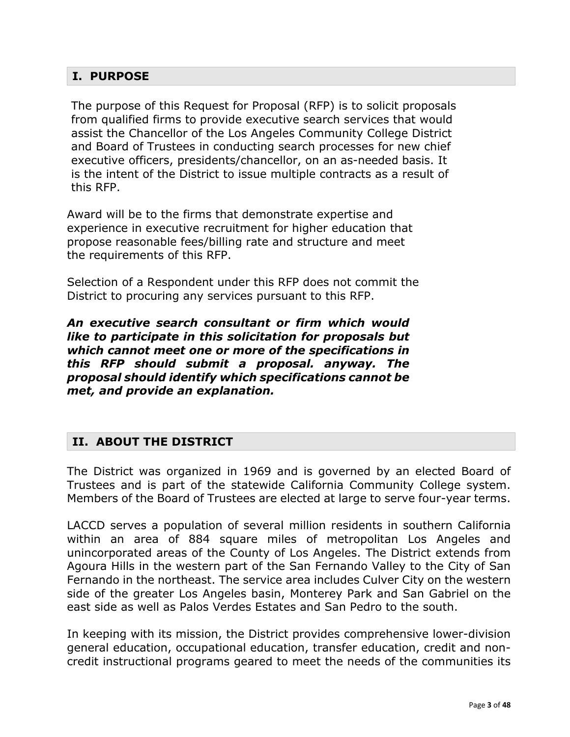## **I. PURPOSE**

The purpose of this Request for Proposal (RFP) is to solicit proposals from qualified firms to provide executive search services that would assist the Chancellor of the Los Angeles Community College District and Board of Trustees in conducting search processes for new chief executive officers, presidents/chancellor, on an as-needed basis. It is the intent of the District to issue multiple contracts as a result of this RFP.

Award will be to the firms that demonstrate expertise and experience in executive recruitment for higher education that propose reasonable fees/billing rate and structure and meet the requirements of this RFP.

Selection of a Respondent under this RFP does not commit the District to procuring any services pursuant to this RFP.

*An executive search consultant or firm which would like to participate in this solicitation for proposals but which cannot meet one or more of the specifications in this RFP should submit a proposal. anyway. The proposal should identify which specifications cannot be met, and provide an explanation.*

## **II. ABOUT THE DISTRICT**

The District was organized in 1969 and is governed by an elected Board of Trustees and is part of the statewide California Community College system. Members of the Board of Trustees are elected at large to serve four-year terms.

LACCD serves a population of several million residents in southern California within an area of 884 square miles of metropolitan Los Angeles and unincorporated areas of the County of Los Angeles. The District extends from Agoura Hills in the western part of the San Fernando Valley to the City of San Fernando in the northeast. The service area includes Culver City on the western side of the greater Los Angeles basin, Monterey Park and San Gabriel on the east side as well as Palos Verdes Estates and San Pedro to the south.

In keeping with its mission, the District provides comprehensive lower-division general education, occupational education, transfer education, credit and noncredit instructional programs geared to meet the needs of the communities its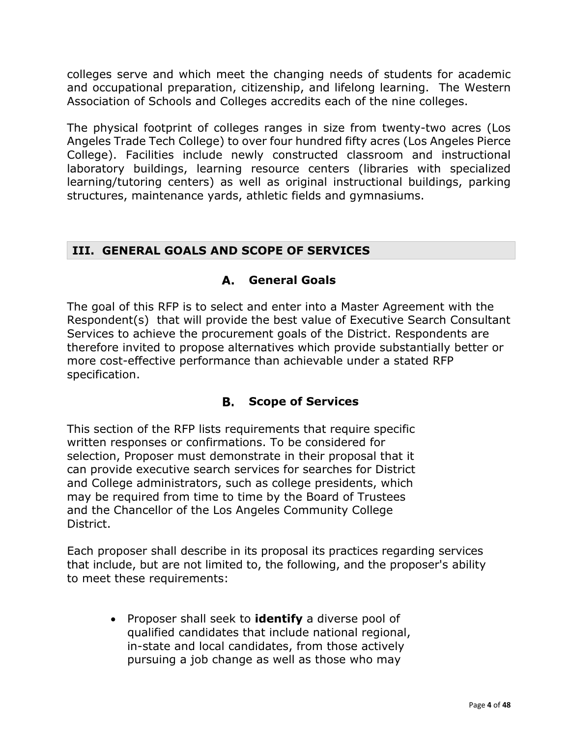colleges serve and which meet the changing needs of students for academic and occupational preparation, citizenship, and lifelong learning. The Western Association of Schools and Colleges accredits each of the nine colleges.

The physical footprint of colleges ranges in size from twenty-two acres (Los Angeles Trade Tech College) to over four hundred fifty acres (Los Angeles Pierce College). Facilities include newly constructed classroom and instructional laboratory buildings, learning resource centers (libraries with specialized learning/tutoring centers) as well as original instructional buildings, parking structures, maintenance yards, athletic fields and gymnasiums.

## **III. GENERAL GOALS AND SCOPE OF SERVICES**

## **General Goals**

The goal of this RFP is to select and enter into a Master Agreement with the Respondent(s) that will provide the best value of Executive Search Consultant Services to achieve the procurement goals of the District. Respondents are therefore invited to propose alternatives which provide substantially better or more cost-effective performance than achievable under a stated RFP specification.

## **Scope of Services**

This section of the RFP lists requirements that require specific written responses or confirmations. To be considered for selection, Proposer must demonstrate in their proposal that it can provide executive search services for searches for District and College administrators, such as college presidents, which may be required from time to time by the Board of Trustees and the Chancellor of the Los Angeles Community College District.

Each proposer shall describe in its proposal its practices regarding services that include, but are not limited to, the following, and the proposer's ability to meet these requirements:

> • Proposer shall seek to **identify** a diverse pool of qualified candidates that include national regional, in-state and local candidates, from those actively pursuing a job change as well as those who may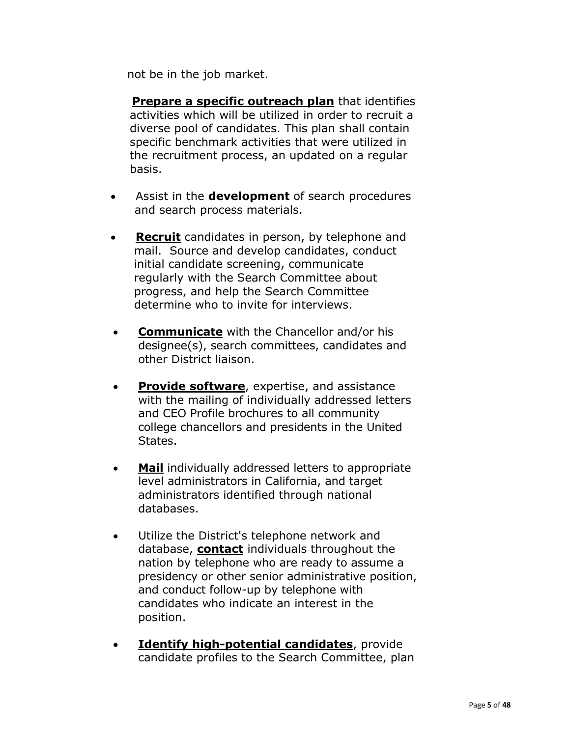not be in the job market.

 **Prepare a specific outreach plan** that identifies activities which will be utilized in order to recruit a diverse pool of candidates. This plan shall contain specific benchmark activities that were utilized in the recruitment process, an updated on a regular basis.

- Assist in the **development** of search procedures and search process materials.
- **Recruit** candidates in person, by telephone and mail. Source and develop candidates, conduct initial candidate screening, communicate regularly with the Search Committee about progress, and help the Search Committee determine who to invite for interviews.
- **Communicate** with the Chancellor and/or his designee(s), search committees, candidates and other District liaison.
- **Provide software**, expertise, and assistance with the mailing of individually addressed letters and CEO Profile brochures to all community college chancellors and presidents in the United States.
- **Mail** individually addressed letters to appropriate level administrators in California, and target administrators identified through national databases.
- Utilize the District's telephone network and database, **contact** individuals throughout the nation by telephone who are ready to assume a presidency or other senior administrative position, and conduct follow-up by telephone with candidates who indicate an interest in the position.
- **Identify high-potential candidates**, provide candidate profiles to the Search Committee, plan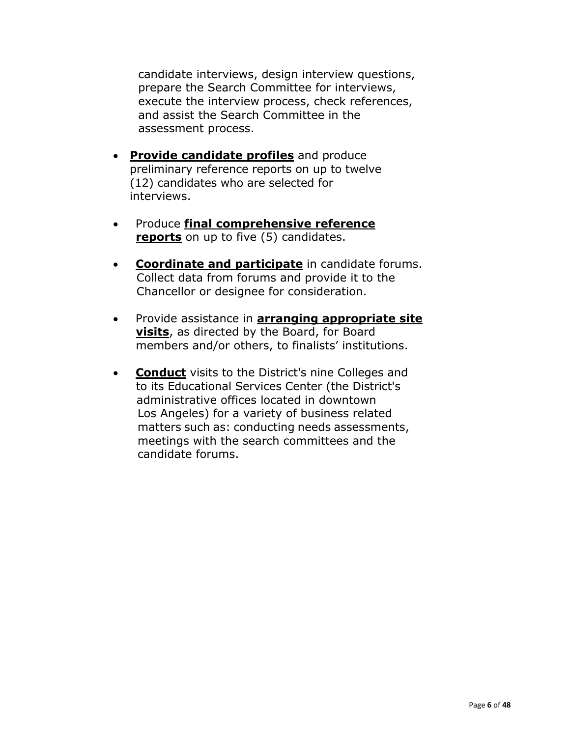candidate interviews, design interview questions, prepare the Search Committee for interviews, execute the interview process, check references, and assist the Search Committee in the assessment process.

- **Provide candidate profiles** and produce preliminary reference reports on up to twelve (12) candidates who are selected for interviews.
- Produce **final comprehensive reference reports** on up to five (5) candidates.
- **Coordinate and participate** in candidate forums. Collect data from forums and provide it to the Chancellor or designee for consideration.
- Provide assistance in **arranging appropriate site visits**, as directed by the Board, for Board members and/or others, to finalists' institutions.
- **Conduct** visits to the District's nine Colleges and to its Educational Services Center (the District's administrative offices located in downtown Los Angeles) for a variety of business related matters such as: conducting needs assessments, meetings with the search committees and the candidate forums.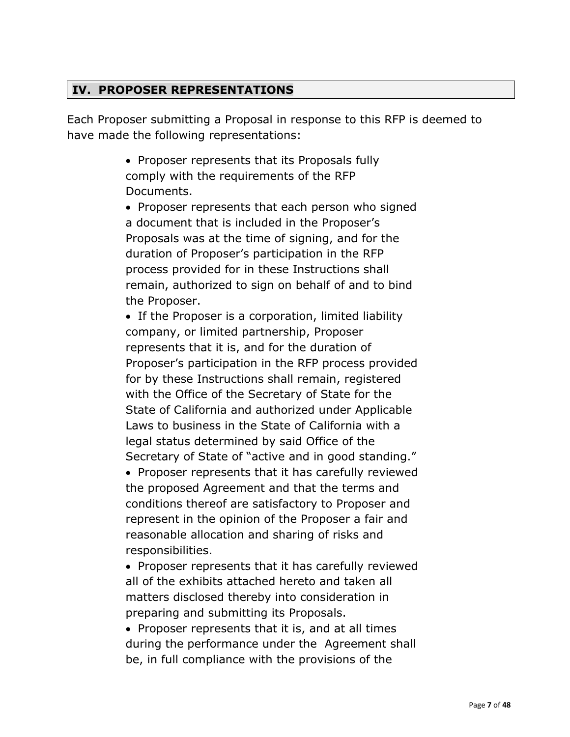# **IV. PROPOSER REPRESENTATIONS**

Each Proposer submitting a Proposal in response to this RFP is deemed to have made the following representations:

> • Proposer represents that its Proposals fully comply with the requirements of the RFP Documents.

• Proposer represents that each person who signed a document that is included in the Proposer's Proposals was at the time of signing, and for the duration of Proposer's participation in the RFP process provided for in these Instructions shall remain, authorized to sign on behalf of and to bind the Proposer.

• If the Proposer is a corporation, limited liability company, or limited partnership, Proposer represents that it is, and for the duration of Proposer's participation in the RFP process provided for by these Instructions shall remain, registered with the Office of the Secretary of State for the State of California and authorized under Applicable Laws to business in the State of California with a legal status determined by said Office of the Secretary of State of "active and in good standing."

• Proposer represents that it has carefully reviewed the proposed Agreement and that the terms and conditions thereof are satisfactory to Proposer and represent in the opinion of the Proposer a fair and reasonable allocation and sharing of risks and responsibilities.

• Proposer represents that it has carefully reviewed all of the exhibits attached hereto and taken all matters disclosed thereby into consideration in preparing and submitting its Proposals.

• Proposer represents that it is, and at all times during the performance under the Agreement shall be, in full compliance with the provisions of the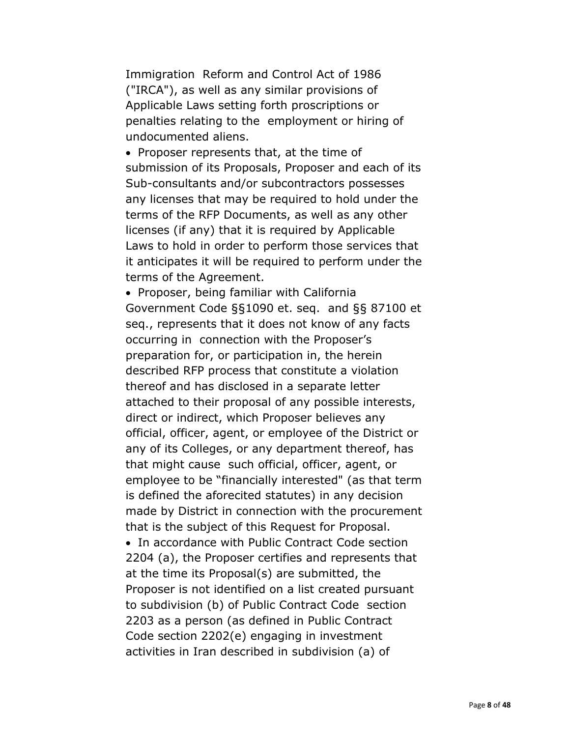Immigration Reform and Control Act of 1986 ("IRCA"), as well as any similar provisions of Applicable Laws setting forth proscriptions or penalties relating to the employment or hiring of undocumented aliens.

• Proposer represents that, at the time of submission of its Proposals, Proposer and each of its Sub-consultants and/or subcontractors possesses any licenses that may be required to hold under the terms of the RFP Documents, as well as any other licenses (if any) that it is required by Applicable Laws to hold in order to perform those services that it anticipates it will be required to perform under the terms of the Agreement.

• Proposer, being familiar with California Government Code §§1090 et. seq. and §§ 87100 et seq., represents that it does not know of any facts occurring in connection with the Proposer's preparation for, or participation in, the herein described RFP process that constitute a violation thereof and has disclosed in a separate letter attached to their proposal of any possible interests, direct or indirect, which Proposer believes any official, officer, agent, or employee of the District or any of its Colleges, or any department thereof, has that might cause such official, officer, agent, or employee to be "financially interested" (as that term is defined the aforecited statutes) in any decision made by District in connection with the procurement that is the subject of this Request for Proposal.

• In accordance with Public Contract Code section 2204 (a), the Proposer certifies and represents that at the time its Proposal(s) are submitted, the Proposer is not identified on a list created pursuant to subdivision (b) of Public Contract Code section 2203 as a person (as defined in Public Contract Code section 2202(e) engaging in investment activities in Iran described in subdivision (a) of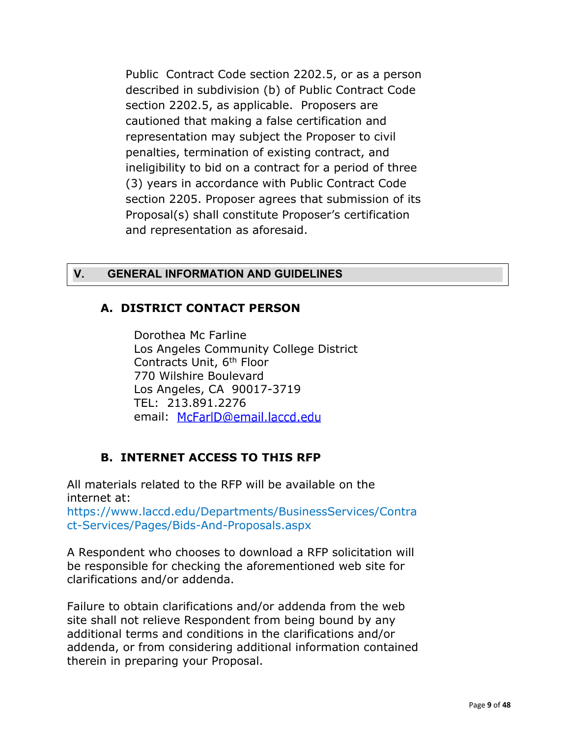Public Contract Code section 2202.5, or as a person described in subdivision (b) of Public Contract Code section 2202.5, as applicable. Proposers are cautioned that making a false certification and representation may subject the Proposer to civil penalties, termination of existing contract, and ineligibility to bid on a contract for a period of three (3) years in accordance with Public Contract Code section 2205. Proposer agrees that submission of its Proposal(s) shall constitute Proposer's certification and representation as aforesaid.

## **V. GENERAL INFORMATION AND GUIDELINES**

## **A. DISTRICT CONTACT PERSON**

Dorothea Mc Farline Los Angeles Community College District Contracts Unit, 6th Floor 770 Wilshire Boulevard Los Angeles, CA 90017-3719 TEL: 2[13.891.2276](mailto:McFarlD@email.laccd.edu) email McFarlD@email.laccd.edu

## **B. INTERNET ACCESS TO THIS RFP**

All materials related to the RFP will be available on the internet at:

https://www.laccd.edu/Departments/BusinessServices/Contra ct-Services/Pages/Bids-And-Proposals.aspx

A Respondent who chooses to download a RFP solicitation will be responsible for checking the aforementioned web site for clarifications and/or addenda.

Failure to obtain clarifications and/or addenda from the web site shall not relieve Respondent from being bound by any additional terms and conditions in the clarifications and/or addenda, or from considering additional information contained therein in preparing your Proposal.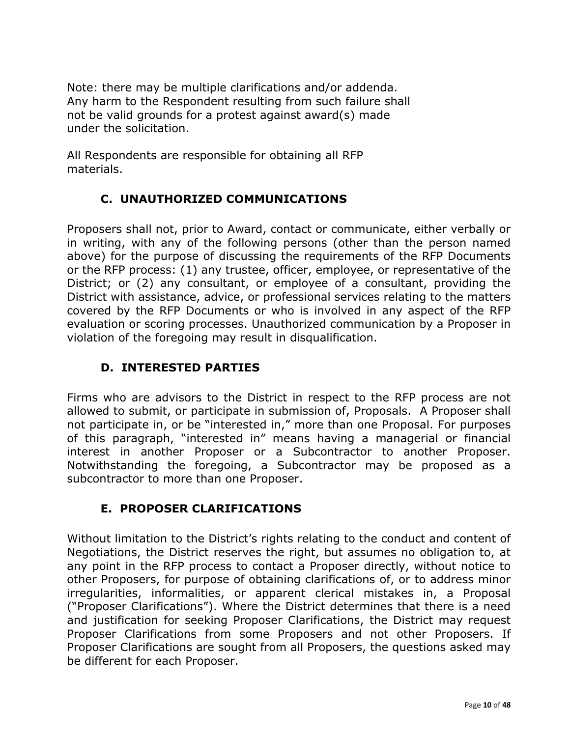Note: there may be multiple clarifications and/or addenda. Any harm to the Respondent resulting from such failure shall not be valid grounds for a protest against award(s) made under the solicitation.

All Respondents are responsible for obtaining all RFP materials.

# **C. UNAUTHORIZED COMMUNICATIONS**

Proposers shall not, prior to Award, contact or communicate, either verbally or in writing, with any of the following persons (other than the person named above) for the purpose of discussing the requirements of the RFP Documents or the RFP process: (1) any trustee, officer, employee, or representative of the District; or (2) any consultant, or employee of a consultant, providing the District with assistance, advice, or professional services relating to the matters covered by the RFP Documents or who is involved in any aspect of the RFP evaluation or scoring processes. Unauthorized communication by a Proposer in violation of the foregoing may result in disqualification.

# **D. INTERESTED PARTIES**

Firms who are advisors to the District in respect to the RFP process are not allowed to submit, or participate in submission of, Proposals. A Proposer shall not participate in, or be "interested in," more than one Proposal. For purposes of this paragraph, "interested in" means having a managerial or financial interest in another Proposer or a Subcontractor to another Proposer. Notwithstanding the foregoing, a Subcontractor may be proposed as a subcontractor to more than one Proposer.

# **E. PROPOSER CLARIFICATIONS**

Without limitation to the District's rights relating to the conduct and content of Negotiations, the District reserves the right, but assumes no obligation to, at any point in the RFP process to contact a Proposer directly, without notice to other Proposers, for purpose of obtaining clarifications of, or to address minor irregularities, informalities, or apparent clerical mistakes in, a Proposal ("Proposer Clarifications"). Where the District determines that there is a need and justification for seeking Proposer Clarifications, the District may request Proposer Clarifications from some Proposers and not other Proposers. If Proposer Clarifications are sought from all Proposers, the questions asked may be different for each Proposer.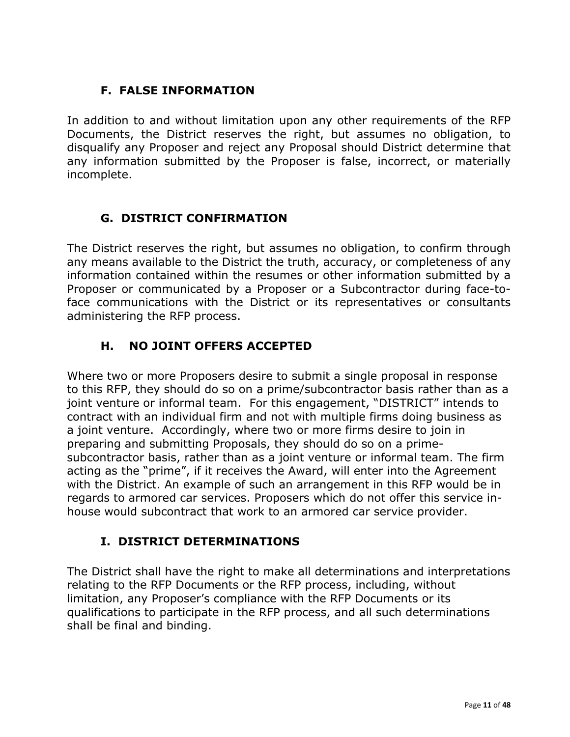# **F. FALSE INFORMATION**

In addition to and without limitation upon any other requirements of the RFP Documents, the District reserves the right, but assumes no obligation, to disqualify any Proposer and reject any Proposal should District determine that any information submitted by the Proposer is false, incorrect, or materially incomplete.

# **G. DISTRICT CONFIRMATION**

The District reserves the right, but assumes no obligation, to confirm through any means available to the District the truth, accuracy, or completeness of any information contained within the resumes or other information submitted by a Proposer or communicated by a Proposer or a Subcontractor during face-toface communications with the District or its representatives or consultants administering the RFP process.

# **H. NO JOINT OFFERS ACCEPTED**

Where two or more Proposers desire to submit a single proposal in response to this RFP, they should do so on a prime/subcontractor basis rather than as a joint venture or informal team. For this engagement, "DISTRICT" intends to contract with an individual firm and not with multiple firms doing business as a joint venture. Accordingly, where two or more firms desire to join in preparing and submitting Proposals, they should do so on a primesubcontractor basis, rather than as a joint venture or informal team. The firm acting as the "prime", if it receives the Award, will enter into the Agreement with the District. An example of such an arrangement in this RFP would be in regards to armored car services. Proposers which do not offer this service inhouse would subcontract that work to an armored car service provider.

## **I. DISTRICT DETERMINATIONS**

The District shall have the right to make all determinations and interpretations relating to the RFP Documents or the RFP process, including, without limitation, any Proposer's compliance with the RFP Documents or its qualifications to participate in the RFP process, and all such determinations shall be final and binding.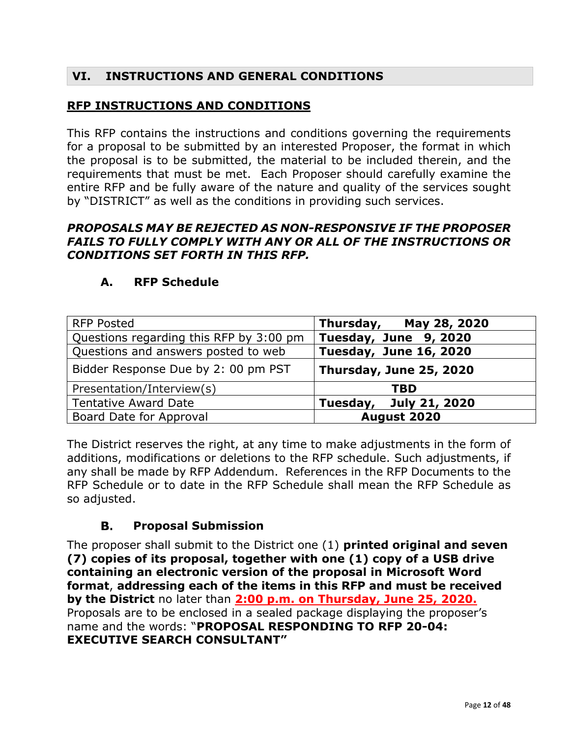## **VI. INSTRUCTIONS AND GENERAL CONDITIONS**

## **RFP INSTRUCTIONS AND CONDITIONS**

This RFP contains the instructions and conditions governing the requirements for a proposal to be submitted by an interested Proposer, the format in which the proposal is to be submitted, the material to be included therein, and the requirements that must be met. Each Proposer should carefully examine the entire RFP and be fully aware of the nature and quality of the services sought by "DISTRICT" as well as the conditions in providing such services.

#### *PROPOSALS MAY BE REJECTED AS NON-RESPONSIVE IF THE PROPOSER FAILS TO FULLY COMPLY WITH ANY OR ALL OF THE INSTRUCTIONS OR CONDITIONS SET FORTH IN THIS RFP.*

| <b>RFP Posted</b>                       | Thursday, May 28, 2020  |
|-----------------------------------------|-------------------------|
| Questions regarding this RFP by 3:00 pm | Tuesday, June 9, 2020   |
| Questions and answers posted to web     | Tuesday, June 16, 2020  |
| Bidder Response Due by 2: 00 pm PST     | Thursday, June 25, 2020 |
| Presentation/Interview(s)               | <b>TBD</b>              |
| <b>Tentative Award Date</b>             | Tuesday, July 21, 2020  |
| Board Date for Approval                 | August 2020             |

#### **A. RFP Schedule**

The District reserves the right, at any time to make adjustments in the form of additions, modifications or deletions to the RFP schedule. Such adjustments, if any shall be made by RFP Addendum. References in the RFP Documents to the RFP Schedule or to date in the RFP Schedule shall mean the RFP Schedule as so adjusted.

#### В.  **Proposal Submission**

The proposer shall submit to the District one (1) **printed original and seven (7) copies of its proposal, together with one (1) copy of a USB drive containing an electronic version of the proposal in Microsoft Word format**, **addressing each of the items in this RFP and must be received by the District** no later than **2:00 p.m. on Thursday, June 25, 2020.** Proposals are to be enclosed in a sealed package displaying the proposer's name and the words: "**PROPOSAL RESPONDING TO RFP 20-04: EXECUTIVE SEARCH CONSULTANT"**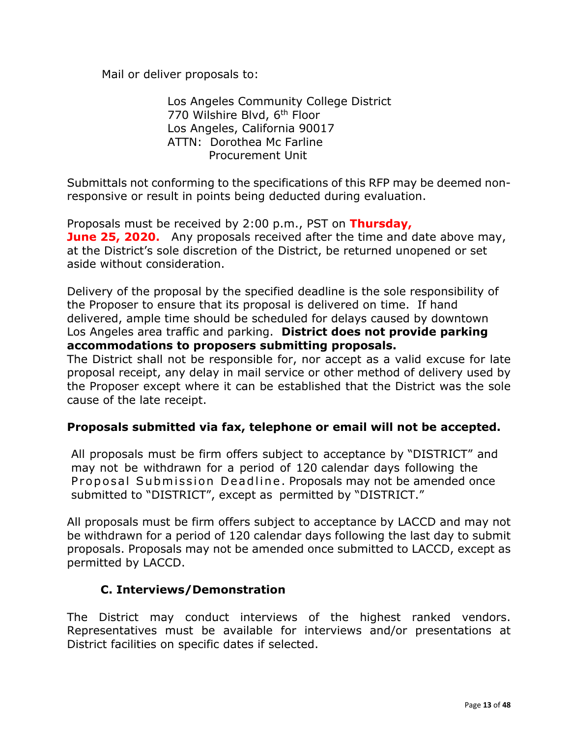Mail or deliver proposals to:

Los Angeles Community College District 770 Wilshire Blvd, 6<sup>th</sup> Floor Los Angeles, California 90017 ATTN: Dorothea Mc Farline Procurement Unit

Submittals not conforming to the specifications of this RFP may be deemed nonresponsive or result in points being deducted during evaluation.

Proposals must be received by 2:00 p.m., PST on **Thursday, June 25, 2020.** Any proposals received after the time and date above may, at the District's sole discretion of the District, be returned unopened or set aside without consideration.

Delivery of the proposal by the specified deadline is the sole responsibility of the Proposer to ensure that its proposal is delivered on time. If hand delivered, ample time should be scheduled for delays caused by downtown Los Angeles area traffic and parking. **District does not provide parking accommodations to proposers submitting proposals.**

The District shall not be responsible for, nor accept as a valid excuse for late proposal receipt, any delay in mail service or other method of delivery used by the Proposer except where it can be established that the District was the sole cause of the late receipt.

### **Proposals submitted via fax, telephone or email will not be accepted.**

All proposals must be firm offers subject to acceptance by "DISTRICT" and may not be withdrawn for a period of 120 calendar days following the Proposal Submission Deadline. Proposals may not be amended once submitted to "DISTRICT", except as permitted by "DISTRICT."

All proposals must be firm offers subject to acceptance by LACCD and may not be withdrawn for a period of 120 calendar days following the last day to submit proposals. Proposals may not be amended once submitted to LACCD, except as permitted by LACCD.

### **C. Interviews/Demonstration**

The District may conduct interviews of the highest ranked vendors. Representatives must be available for interviews and/or presentations at District facilities on specific dates if selected.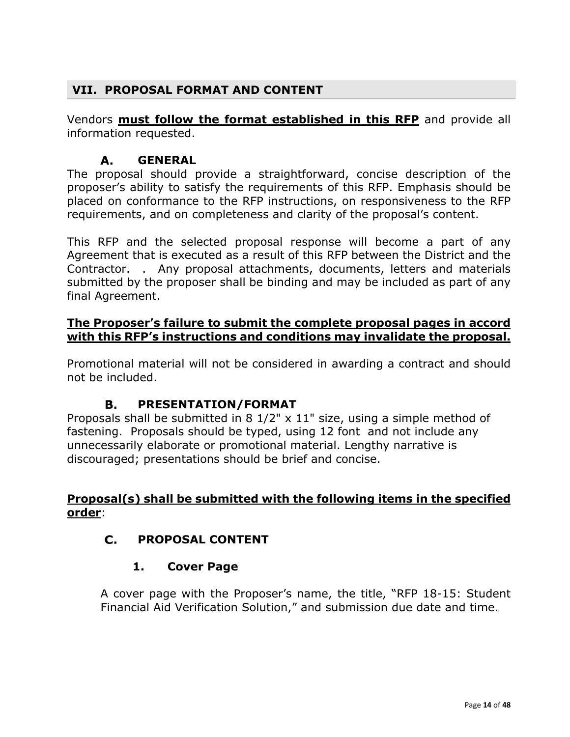# **VII. PROPOSAL FORMAT AND CONTENT**

Vendors **must follow the format established in this RFP** and provide all information requested.

#### $\mathbf{A}$ . **GENERAL**

The proposal should provide a straightforward, concise description of the proposer's ability to satisfy the requirements of this RFP. Emphasis should be placed on conformance to the RFP instructions, on responsiveness to the RFP requirements, and on completeness and clarity of the proposal's content.

This RFP and the selected proposal response will become a part of any Agreement that is executed as a result of this RFP between the District and the Contractor. . Any proposal attachments, documents, letters and materials submitted by the proposer shall be binding and may be included as part of any final Agreement.

### **The Proposer's failure to submit the complete proposal pages in accord with this RFP's instructions and conditions may invalidate the proposal.**

Promotional material will not be considered in awarding a contract and should not be included.

#### **B. PRESENTATION/FORMAT**

Proposals shall be submitted in 8 1/2" x 11" size, using a simple method of fastening. Proposals should be typed, using 12 font and not include any unnecessarily elaborate or promotional material. Lengthy narrative is discouraged; presentations should be brief and concise.

## **Proposal(s) shall be submitted with the following items in the specified order**:

## **PROPOSAL CONTENT**

### **1. Cover Page**

A cover page with the Proposer's name, the title, "RFP 18-15: Student Financial Aid Verification Solution," and submission due date and time.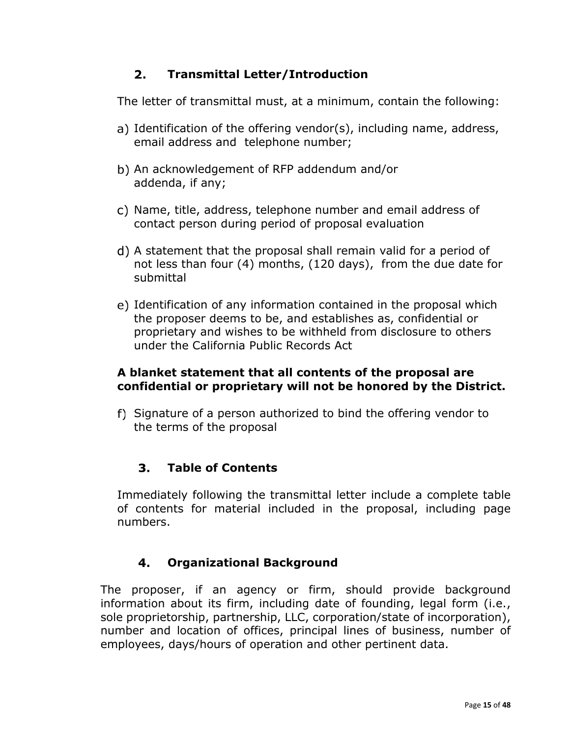#### $2.$ **Transmittal Letter/Introduction**

The letter of transmittal must, at a minimum, contain the following:

- a) Identification of the offering vendor(s), including name, address, email address and telephone number;
- b) An acknowledgement of RFP addendum and/or addenda, if any;
- Name, title, address, telephone number and email address of contact person during period of proposal evaluation
- A statement that the proposal shall remain valid for a period of not less than four (4) months, (120 days), from the due date for submittal
- Identification of any information contained in the proposal which the proposer deems to be, and establishes as, confidential or proprietary and wishes to be withheld from disclosure to others under the California Public Records Act

### **A blanket statement that all contents of the proposal are confidential or proprietary will not be honored by the District.**

f) Signature of a person authorized to bind the offering vendor to the terms of the proposal

#### $3.$ **Table of Contents**

Immediately following the transmittal letter include a complete table of contents for material included in the proposal, including page numbers.

#### 4. **Organizational Background**

The proposer, if an agency or firm, should provide background information about its firm, including date of founding, legal form (i.e., sole proprietorship, partnership, LLC, corporation/state of incorporation), number and location of offices, principal lines of business, number of employees, days/hours of operation and other pertinent data.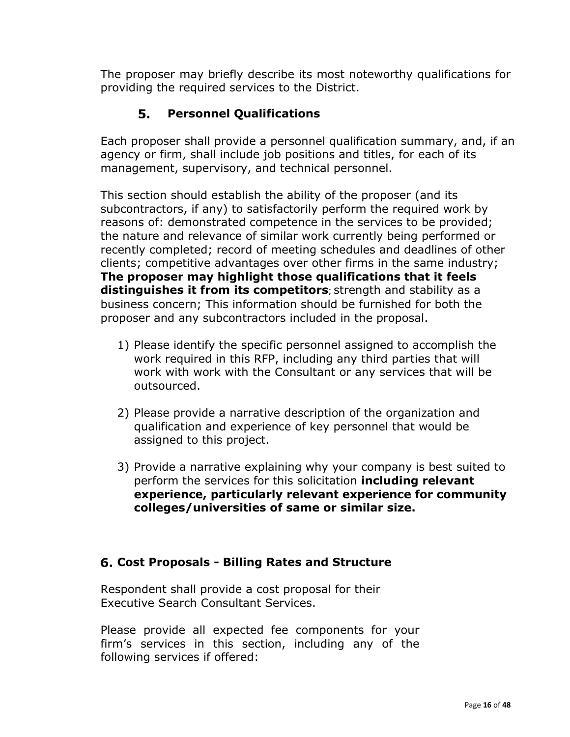The proposer may briefly describe its most noteworthy qualifications for providing the required services to the District.

#### 5. **Personnel Qualifications**

Each proposer shall provide a personnel qualification summary, and, if an agency or firm, shall include job positions and titles, for each of its management, supervisory, and technical personnel.

This section should establish the ability of the proposer (and its subcontractors, if any) to satisfactorily perform the required work by reasons of: demonstrated competence in the services to be provided; the nature and relevance of similar work currently being performed or recently completed; record of meeting schedules and deadlines of other clients; competitive advantages over other firms in the same industry; **The proposer may highlight those qualifications that it feels distinguishes it from its competitors**; strength and stability as a business concern; This information should be furnished for both the proposer and any subcontractors included in the proposal.

- 1) Please identify the specific personnel assigned to accomplish the work required in this RFP, including any third parties that will work with work with the Consultant or any services that will be outsourced.
- 2) Please provide a narrative description of the organization and qualification and experience of key personnel that would be assigned to this project.
- 3) Provide a narrative explaining why your company is best suited to perform the services for this solicitation **including relevant experience, particularly relevant experience for community colleges/universities of same or similar size.**

## **Cost Proposals - Billing Rates and Structure**

Respondent shall provide a cost proposal for their Executive Search Consultant Services.

Please provide all expected fee components for your firm's services in this section, including any of the following services if offered: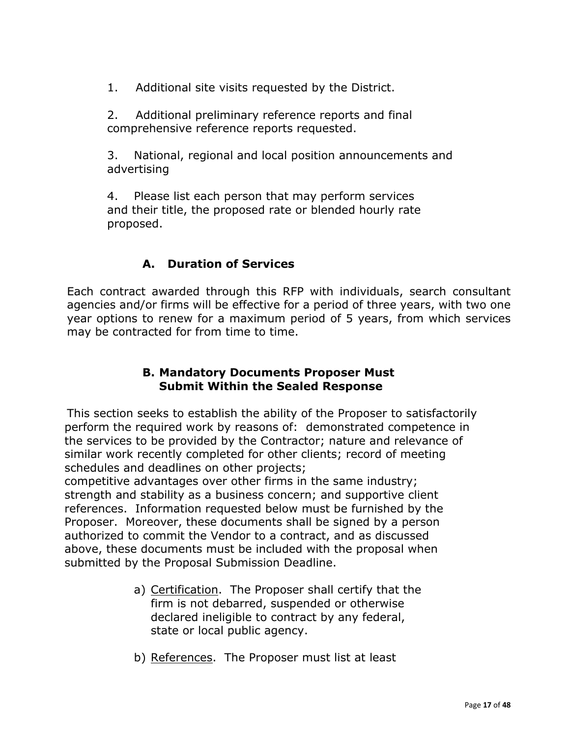1. Additional site visits requested by the District.

2. Additional preliminary reference reports and final comprehensive reference reports requested.

3. National, regional and local position announcements and advertising

4. Please list each person that may perform services and their title, the proposed rate or blended hourly rate proposed.

## **A. Duration of Services**

Each contract awarded through this RFP with individuals, search consultant agencies and/or firms will be effective for a period of three years, with two one year options to renew for a maximum period of 5 years, from which services may be contracted for from time to time.

### **B. Mandatory Documents Proposer Must Submit Within the Sealed Response**

This section seeks to establish the ability of the Proposer to satisfactorily perform the required work by reasons of: demonstrated competence in the services to be provided by the Contractor; nature and relevance of similar work recently completed for other clients; record of meeting schedules and deadlines on other projects;

 competitive advantages over other firms in the same industry; strength and stability as a business concern; and supportive client references. Information requested below must be furnished by the Proposer. Moreover, these documents shall be signed by a person authorized to commit the Vendor to a contract, and as discussed above, these documents must be included with the proposal when submitted by the Proposal Submission Deadline.

- a) Certification. The Proposer shall certify that the firm is not debarred, suspended or otherwise declared ineligible to contract by any federal, state or local public agency.
- b) References. The Proposer must list at least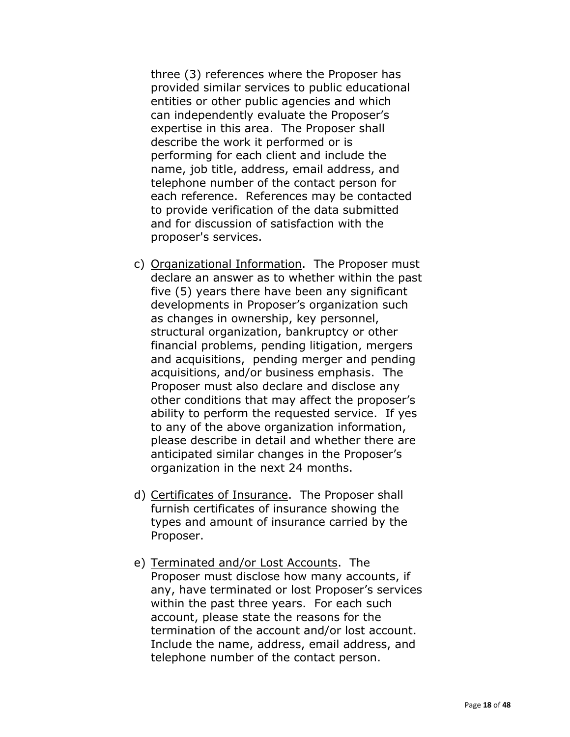three (3) references where the Proposer has provided similar services to public educational entities or other public agencies and which can independently evaluate the Proposer's expertise in this area. The Proposer shall describe the work it performed or is performing for each client and include the name, job title, address, email address, and telephone number of the contact person for each reference. References may be contacted to provide verification of the data submitted and for discussion of satisfaction with the proposer's services.

- c) Organizational Information. The Proposer must declare an answer as to whether within the past five (5) years there have been any significant developments in Proposer's organization such as changes in ownership, key personnel, structural organization, bankruptcy or other financial problems, pending litigation, mergers and acquisitions, pending merger and pending acquisitions, and/or business emphasis. The Proposer must also declare and disclose any other conditions that may affect the proposer's ability to perform the requested service. If yes to any of the above organization information, please describe in detail and whether there are anticipated similar changes in the Proposer's organization in the next 24 months.
- d) Certificates of Insurance. The Proposer shall furnish certificates of insurance showing the types and amount of insurance carried by the Proposer.
- e) Terminated and/or Lost Accounts. The Proposer must disclose how many accounts, if any, have terminated or lost Proposer's services within the past three years. For each such account, please state the reasons for the termination of the account and/or lost account. Include the name, address, email address, and telephone number of the contact person.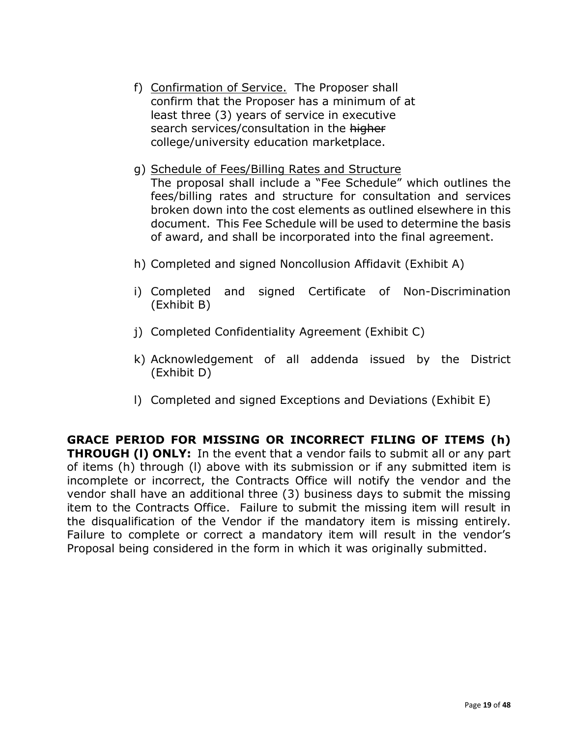- f) Confirmation of Service. The Proposer shall confirm that the Proposer has a minimum of at least three (3) years of service in executive search services/consultation in the higher college/university education marketplace.
- g) Schedule of Fees/Billing Rates and Structure The proposal shall include a "Fee Schedule" which outlines the fees/billing rates and structure for consultation and services broken down into the cost elements as outlined elsewhere in this document. This Fee Schedule will be used to determine the basis of award, and shall be incorporated into the final agreement.
- h) Completed and signed Noncollusion Affidavit (Exhibit A)
- i) Completed and signed Certificate of Non-Discrimination (Exhibit B)
- j) Completed Confidentiality Agreement (Exhibit C)
- k) Acknowledgement of all addenda issued by the District (Exhibit D)
- l) Completed and signed Exceptions and Deviations (Exhibit E)

**GRACE PERIOD FOR MISSING OR INCORRECT FILING OF ITEMS (h) THROUGH (l) ONLY:** In the event that a vendor fails to submit all or any part of items (h) through (l) above with its submission or if any submitted item is incomplete or incorrect, the Contracts Office will notify the vendor and the vendor shall have an additional three (3) business days to submit the missing item to the Contracts Office. Failure to submit the missing item will result in the disqualification of the Vendor if the mandatory item is missing entirely. Failure to complete or correct a mandatory item will result in the vendor's Proposal being considered in the form in which it was originally submitted.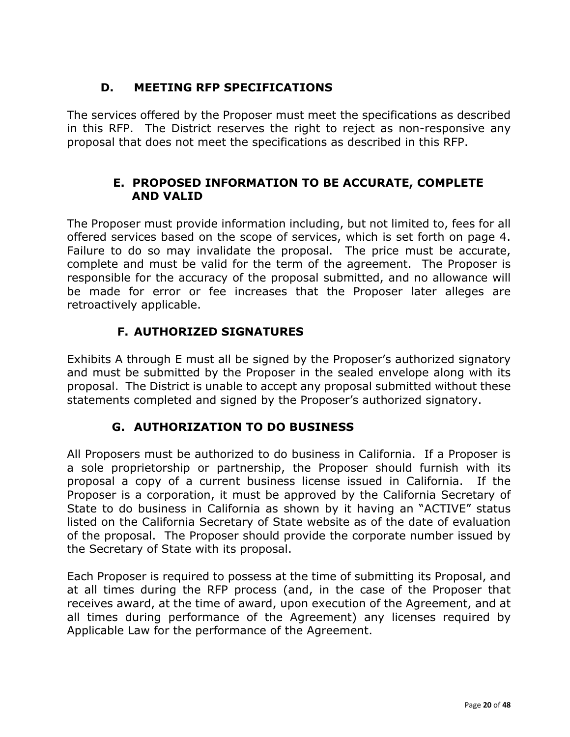# **D. MEETING RFP SPECIFICATIONS**

The services offered by the Proposer must meet the specifications as described in this RFP. The District reserves the right to reject as non-responsive any proposal that does not meet the specifications as described in this RFP.

## **E. PROPOSED INFORMATION TO BE ACCURATE, COMPLETE AND VALID**

The Proposer must provide information including, but not limited to, fees for all offered services based on the scope of services, which is set forth on page 4. Failure to do so may invalidate the proposal. The price must be accurate, complete and must be valid for the term of the agreement. The Proposer is responsible for the accuracy of the proposal submitted, and no allowance will be made for error or fee increases that the Proposer later alleges are retroactively applicable.

# **F. AUTHORIZED SIGNATURES**

Exhibits A through E must all be signed by the Proposer's authorized signatory and must be submitted by the Proposer in the sealed envelope along with its proposal. The District is unable to accept any proposal submitted without these statements completed and signed by the Proposer's authorized signatory.

# **G. AUTHORIZATION TO DO BUSINESS**

All Proposers must be authorized to do business in California. If a Proposer is a sole proprietorship or partnership, the Proposer should furnish with its proposal a copy of a current business license issued in California. If the Proposer is a corporation, it must be approved by the California Secretary of State to do business in California as shown by it having an "ACTIVE" status listed on the California Secretary of State website as of the date of evaluation of the proposal. The Proposer should provide the corporate number issued by the Secretary of State with its proposal.

Each Proposer is required to possess at the time of submitting its Proposal, and at all times during the RFP process (and, in the case of the Proposer that receives award, at the time of award, upon execution of the Agreement, and at all times during performance of the Agreement) any licenses required by Applicable Law for the performance of the Agreement.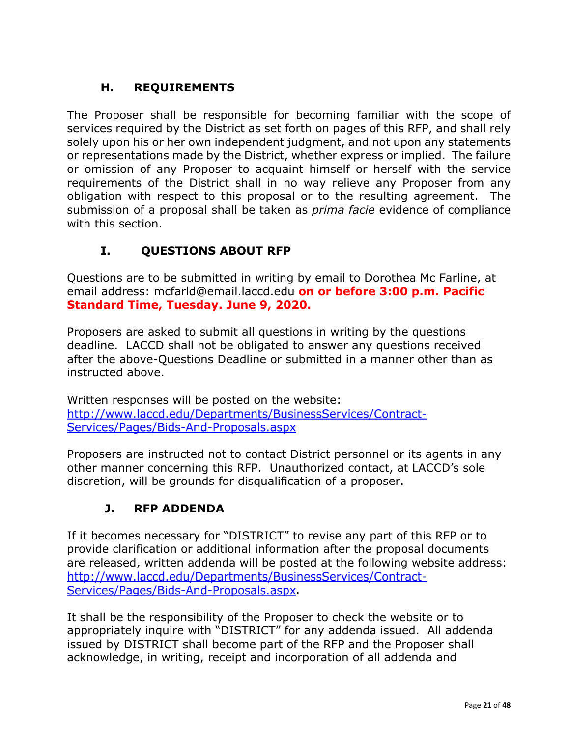# **H. REQUIREMENTS**

The Proposer shall be responsible for becoming familiar with the scope of services required by the District as set forth on pages of this RFP, and shall rely solely upon his or her own independent judgment, and not upon any statements or representations made by the District, whether express or implied. The failure or omission of any Proposer to acquaint himself or herself with the service requirements of the District shall in no way relieve any Proposer from any obligation with respect to this proposal or to the resulting agreement. The submission of a proposal shall be taken as *prima facie* evidence of compliance with this section.

# **I. QUESTIONS ABOUT RFP**

Questions are to be submitted in writing by email to Dorothea Mc Farline, at email address: mcfarld@email.laccd.edu **on or before 3:00 p.m. Pacific Standard Time, Tuesday. June 9, 2020.**

Proposers are asked to submit all questions in writing by the questions deadline. LACCD shall not be obligated to answer any questions received after the above-Questions Deadline or submitted in a manner other than as instructed above.

Written responses will be posted on the website: http://www.laccd.edu/Departments/BusinessServices/Contract-Services/Pages/Bids-And-Proposals.aspx

Proposers are instructed not to contact District personnel or its agents in any other manner concerning this RFP. Unauthorized contact, at LACCD's sole discretion, will be grounds for disqualification of a proposer.

# **J. RFP ADDENDA**

If it becomes necessary for "DISTRICT" to revise any part of this RFP or to provide clarification or additional information after the proposal documents are released, written addenda will be posted at the following website address: http://www.laccd.edu/Departments/BusinessServices/Contract-Services/Pages/Bids-And-Proposals[.](http://www.laccd.edu/Departments/BusinessServices/Contract-Services/Pages/Bids-And-Proposals.aspx)aspx.

It shall be the responsibility of the Proposer to check the website or to appropriately inquire with "DISTRICT" for any addenda issued. All addenda issued by DISTRICT shall become part of the RFP and the Proposer shall acknowledge, in writing, receipt and incorporation of all addenda and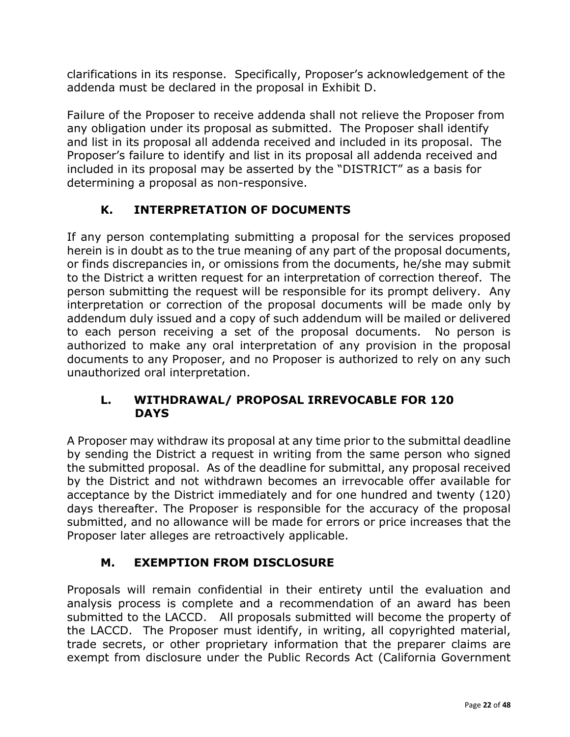clarifications in its response. Specifically, Proposer's acknowledgement of the addenda must be declared in the proposal in Exhibit D.

Failure of the Proposer to receive addenda shall not relieve the Proposer from any obligation under its proposal as submitted. The Proposer shall identify and list in its proposal all addenda received and included in its proposal. The Proposer's failure to identify and list in its proposal all addenda received and included in its proposal may be asserted by the "DISTRICT" as a basis for determining a proposal as non-responsive.

# **K. INTERPRETATION OF DOCUMENTS**

If any person contemplating submitting a proposal for the services proposed herein is in doubt as to the true meaning of any part of the proposal documents, or finds discrepancies in, or omissions from the documents, he/she may submit to the District a written request for an interpretation of correction thereof. The person submitting the request will be responsible for its prompt delivery. Any interpretation or correction of the proposal documents will be made only by addendum duly issued and a copy of such addendum will be mailed or delivered to each person receiving a set of the proposal documents. No person is authorized to make any oral interpretation of any provision in the proposal documents to any Proposer, and no Proposer is authorized to rely on any such unauthorized oral interpretation.

## **L. WITHDRAWAL/ PROPOSAL IRREVOCABLE FOR 120 DAYS**

A Proposer may withdraw its proposal at any time prior to the submittal deadline by sending the District a request in writing from the same person who signed the submitted proposal. As of the deadline for submittal, any proposal received by the District and not withdrawn becomes an irrevocable offer available for acceptance by the District immediately and for one hundred and twenty (120) days thereafter. The Proposer is responsible for the accuracy of the proposal submitted, and no allowance will be made for errors or price increases that the Proposer later alleges are retroactively applicable.

# **M. EXEMPTION FROM DISCLOSURE**

Proposals will remain confidential in their entirety until the evaluation and analysis process is complete and a recommendation of an award has been submitted to the LACCD. All proposals submitted will become the property of the LACCD. The Proposer must identify, in writing, all copyrighted material, trade secrets, or other proprietary information that the preparer claims are exempt from disclosure under the Public Records Act (California Government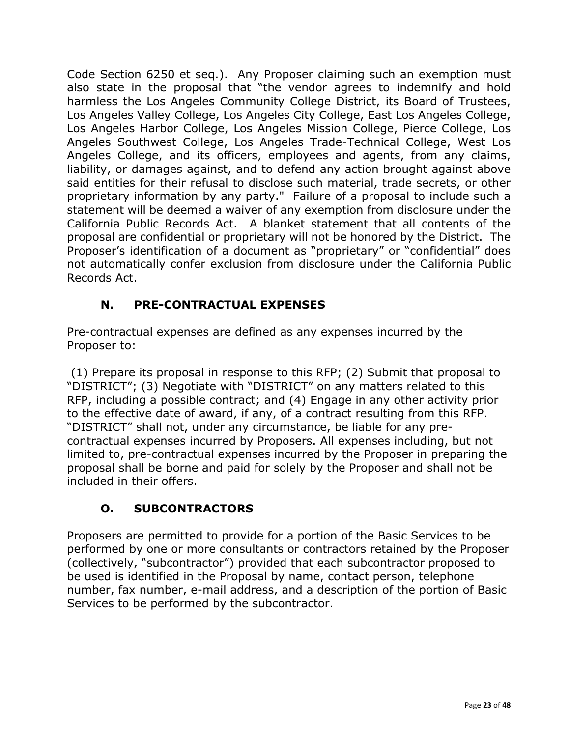Code Section 6250 et seq.). Any Proposer claiming such an exemption must also state in the proposal that "the vendor agrees to indemnify and hold harmless the Los Angeles Community College District, its Board of Trustees, Los Angeles Valley College, Los Angeles City College, East Los Angeles College, Los Angeles Harbor College, Los Angeles Mission College, Pierce College, Los Angeles Southwest College, Los Angeles Trade-Technical College, West Los Angeles College, and its officers, employees and agents, from any claims, liability, or damages against, and to defend any action brought against above said entities for their refusal to disclose such material, trade secrets, or other proprietary information by any party." Failure of a proposal to include such a statement will be deemed a waiver of any exemption from disclosure under the California Public Records Act. A blanket statement that all contents of the proposal are confidential or proprietary will not be honored by the District. The Proposer's identification of a document as "proprietary" or "confidential" does not automatically confer exclusion from disclosure under the California Public Records Act.

# **N. PRE-CONTRACTUAL EXPENSES**

Pre-contractual expenses are defined as any expenses incurred by the Proposer to:

(1) Prepare its proposal in response to this RFP; (2) Submit that proposal to "DISTRICT"; (3) Negotiate with "DISTRICT" on any matters related to this RFP, including a possible contract; and (4) Engage in any other activity prior to the effective date of award, if any, of a contract resulting from this RFP. "DISTRICT" shall not, under any circumstance, be liable for any precontractual expenses incurred by Proposers. All expenses including, but not limited to, pre-contractual expenses incurred by the Proposer in preparing the proposal shall be borne and paid for solely by the Proposer and shall not be included in their offers.

# **O. SUBCONTRACTORS**

Proposers are permitted to provide for a portion of the Basic Services to be performed by one or more consultants or contractors retained by the Proposer (collectively, "subcontractor") provided that each subcontractor proposed to be used is identified in the Proposal by name, contact person, telephone number, fax number, e-mail address, and a description of the portion of Basic Services to be performed by the subcontractor.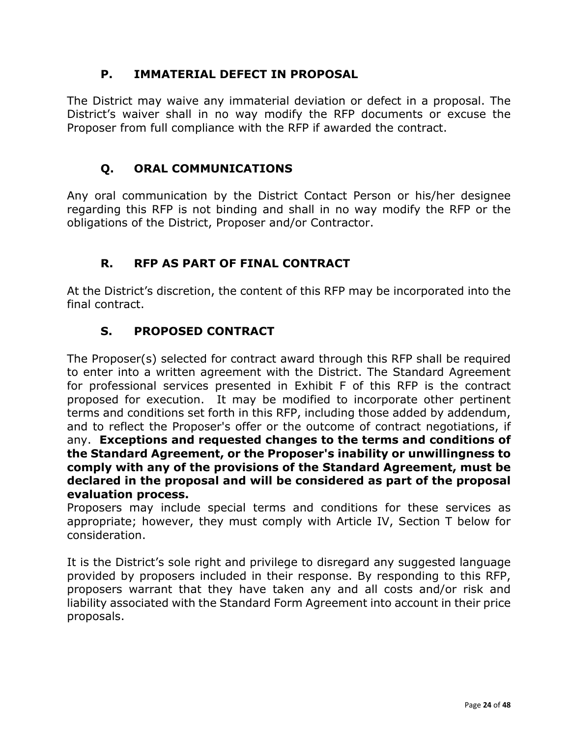## **P. IMMATERIAL DEFECT IN PROPOSAL**

The District may waive any immaterial deviation or defect in a proposal. The District's waiver shall in no way modify the RFP documents or excuse the Proposer from full compliance with the RFP if awarded the contract.

# **Q. ORAL COMMUNICATIONS**

Any oral communication by the District Contact Person or his/her designee regarding this RFP is not binding and shall in no way modify the RFP or the obligations of the District, Proposer and/or Contractor.

# **R. RFP AS PART OF FINAL CONTRACT**

At the District's discretion, the content of this RFP may be incorporated into the final contract.

# **S. PROPOSED CONTRACT**

The Proposer(s) selected for contract award through this RFP shall be required to enter into a written agreement with the District. The Standard Agreement for professional services presented in Exhibit F of this RFP is the contract proposed for execution. It may be modified to incorporate other pertinent terms and conditions set forth in this RFP, including those added by addendum, and to reflect the Proposer's offer or the outcome of contract negotiations, if any. **Exceptions and requested changes to the terms and conditions of the Standard Agreement, or the Proposer's inability or unwillingness to comply with any of the provisions of the Standard Agreement, must be declared in the proposal and will be considered as part of the proposal evaluation process.** 

Proposers may include special terms and conditions for these services as appropriate; however, they must comply with Article IV, Section T below for consideration.

It is the District's sole right and privilege to disregard any suggested language provided by proposers included in their response. By responding to this RFP, proposers warrant that they have taken any and all costs and/or risk and liability associated with the Standard Form Agreement into account in their price proposals.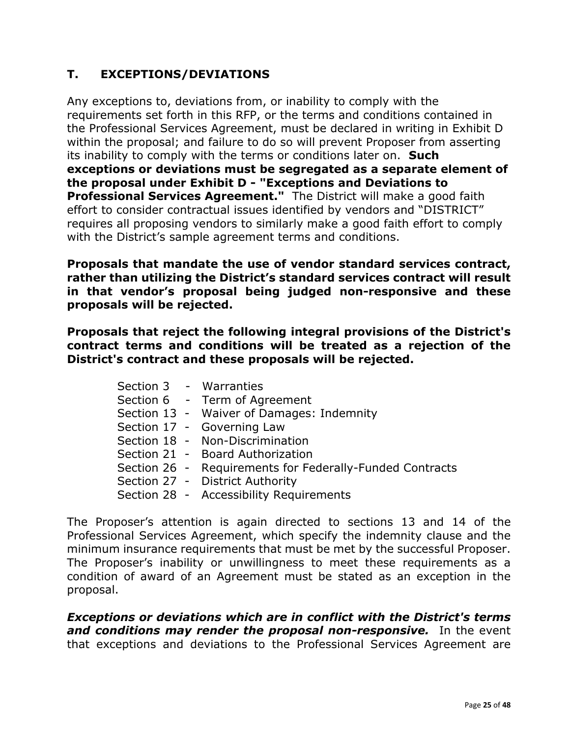# **T. EXCEPTIONS/DEVIATIONS**

Any exceptions to, deviations from, or inability to comply with the requirements set forth in this RFP, or the terms and conditions contained in the Professional Services Agreement, must be declared in writing in Exhibit D within the proposal; and failure to do so will prevent Proposer from asserting its inability to comply with the terms or conditions later on. **Such exceptions or deviations must be segregated as a separate element of the proposal under Exhibit D - "Exceptions and Deviations to Professional Services Agreement."** The District will make a good faith effort to consider contractual issues identified by vendors and "DISTRICT" requires all proposing vendors to similarly make a good faith effort to comply with the District's sample agreement terms and conditions.

**Proposals that mandate the use of vendor standard services contract, rather than utilizing the District's standard services contract will result in that vendor's proposal being judged non-responsive and these proposals will be rejected.** 

**Proposals that reject the following integral provisions of the District's contract terms and conditions will be treated as a rejection of the District's contract and these proposals will be rejected.**

|  | Section 3 - Warranties                                   |
|--|----------------------------------------------------------|
|  | Section 6 - Term of Agreement                            |
|  | Section 13 - Waiver of Damages: Indemnity                |
|  | Section 17 - Governing Law                               |
|  | Section 18 - Non-Discrimination                          |
|  | Section 21 - Board Authorization                         |
|  | Section 26 - Requirements for Federally-Funded Contracts |
|  | Section 27 - District Authority                          |
|  | Section 28 - Accessibility Requirements                  |

The Proposer's attention is again directed to sections 13 and 14 of the Professional Services Agreement, which specify the indemnity clause and the minimum insurance requirements that must be met by the successful Proposer. The Proposer's inability or unwillingness to meet these requirements as a condition of award of an Agreement must be stated as an exception in the proposal.

*Exceptions or deviations which are in conflict with the District's terms and conditions may render the proposal non-responsive.* In the event that exceptions and deviations to the Professional Services Agreement are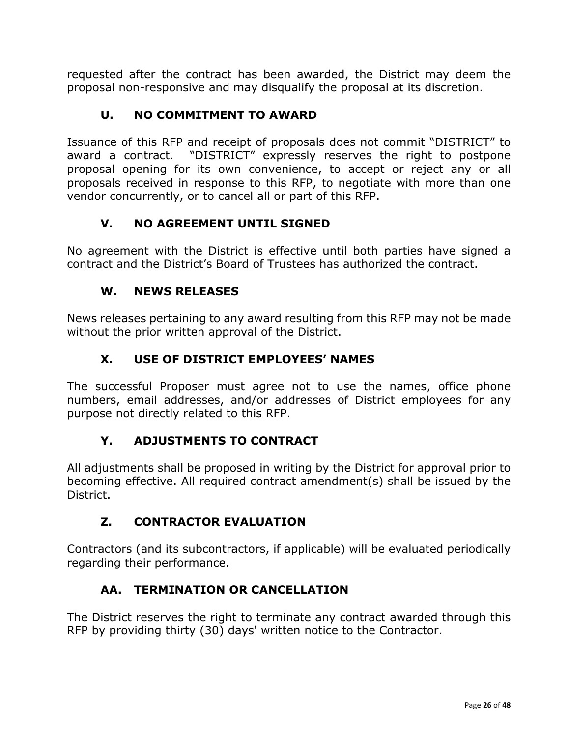requested after the contract has been awarded, the District may deem the proposal non-responsive and may disqualify the proposal at its discretion.

# **U. NO COMMITMENT TO AWARD**

Issuance of this RFP and receipt of proposals does not commit "DISTRICT" to award a contract. "DISTRICT" expressly reserves the right to postpone proposal opening for its own convenience, to accept or reject any or all proposals received in response to this RFP, to negotiate with more than one vendor concurrently, or to cancel all or part of this RFP.

# **V. NO AGREEMENT UNTIL SIGNED**

No agreement with the District is effective until both parties have signed a contract and the District's Board of Trustees has authorized the contract.

# **W. NEWS RELEASES**

News releases pertaining to any award resulting from this RFP may not be made without the prior written approval of the District.

# **X. USE OF DISTRICT EMPLOYEES' NAMES**

The successful Proposer must agree not to use the names, office phone numbers, email addresses, and/or addresses of District employees for any purpose not directly related to this RFP.

# **Y. ADJUSTMENTS TO CONTRACT**

All adjustments shall be proposed in writing by the District for approval prior to becoming effective. All required contract amendment(s) shall be issued by the District.

# **Z. CONTRACTOR EVALUATION**

Contractors (and its subcontractors, if applicable) will be evaluated periodically regarding their performance.

# **AA. TERMINATION OR CANCELLATION**

The District reserves the right to terminate any contract awarded through this RFP by providing thirty (30) days' written notice to the Contractor.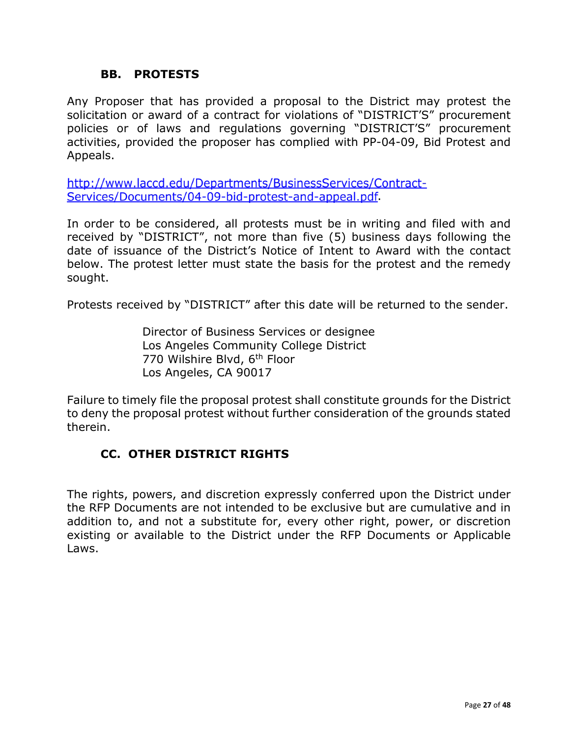### **BB. PROTESTS**

Any Proposer that has provided a proposal to the District may protest the solicitation or award of a contract for violations of "DISTRICT'S" procurement policies or of laws and regulations governing "DISTRICT'S" procurement activities, provided the proposer has complied with PP-04-09, Bid Protest and Appeals.

http://www.laccd.edu/Departments/BusinessServices/Contract-Services/Documents/04-09-bid-protest-and-appeal[.](http://www.laccd.edu/Departments/BusinessServices/Contract-Services/Documents/04-09-bid-protest-and-appeal.pdf)pdf

In order to be considered, all protests must be in writing and filed with and received by "DISTRICT", not more than five (5) business days following the date of issuance of the District's Notice of Intent to Award with the contact below. The protest letter must state the basis for the protest and the remedy sought.

Protests received by "DISTRICT" after this date will be returned to the sender.

Director of Business Services or designee Los Angeles Community College District 770 Wilshire Blvd, 6<sup>th</sup> Floor Los Angeles, CA 90017

Failure to timely file the proposal protest shall constitute grounds for the District to deny the proposal protest without further consideration of the grounds stated therein.

## **CC. OTHER DISTRICT RIGHTS**

The rights, powers, and discretion expressly conferred upon the District under the RFP Documents are not intended to be exclusive but are cumulative and in addition to, and not a substitute for, every other right, power, or discretion existing or available to the District under the RFP Documents or Applicable Laws.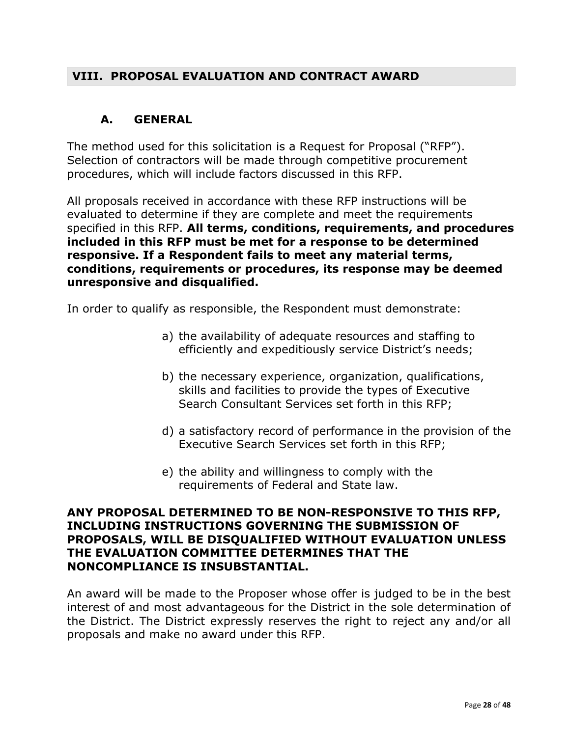## **VIII. PROPOSAL EVALUATION AND CONTRACT AWARD**

## **A. GENERAL**

The method used for this solicitation is a Request for Proposal ("RFP"). Selection of contractors will be made through competitive procurement procedures, which will include factors discussed in this RFP.

All proposals received in accordance with these RFP instructions will be evaluated to determine if they are complete and meet the requirements specified in this RFP. **All terms, conditions, requirements, and procedures included in this RFP must be met for a response to be determined responsive. If a Respondent fails to meet any material terms, conditions, requirements or procedures, its response may be deemed unresponsive and disqualified.** 

In order to qualify as responsible, the Respondent must demonstrate:

- a) the availability of adequate resources and staffing to efficiently and expeditiously service District's needs;
- b) the necessary experience, organization, qualifications, skills and facilities to provide the types of Executive Search Consultant Services set forth in this RFP;
- d) a satisfactory record of performance in the provision of the Executive Search Services set forth in this RFP;
- e) the ability and willingness to comply with the requirements of Federal and State law.

#### **ANY PROPOSAL DETERMINED TO BE NON-RESPONSIVE TO THIS RFP, INCLUDING INSTRUCTIONS GOVERNING THE SUBMISSION OF PROPOSALS, WILL BE DISQUALIFIED WITHOUT EVALUATION UNLESS THE EVALUATION COMMITTEE DETERMINES THAT THE NONCOMPLIANCE IS INSUBSTANTIAL.**

An award will be made to the Proposer whose offer is judged to be in the best interest of and most advantageous for the District in the sole determination of the District. The District expressly reserves the right to reject any and/or all proposals and make no award under this RFP.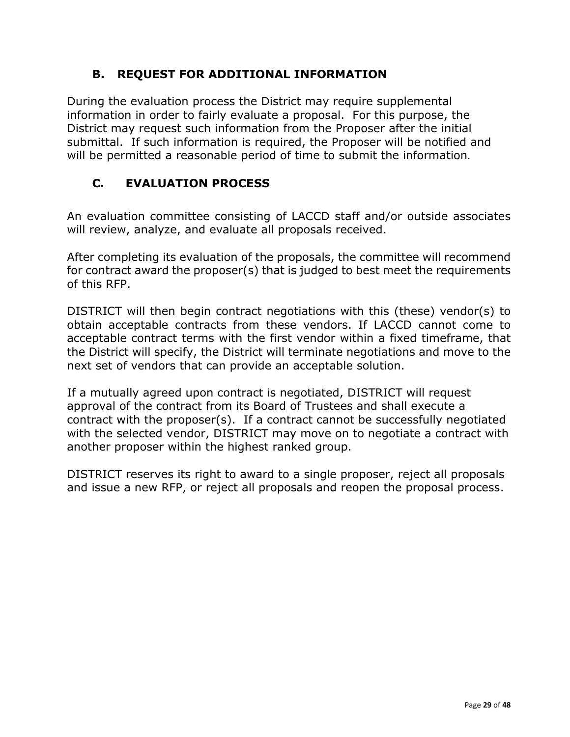# **B. REQUEST FOR ADDITIONAL INFORMATION**

During the evaluation process the District may require supplemental information in order to fairly evaluate a proposal. For this purpose, the District may request such information from the Proposer after the initial submittal. If such information is required, the Proposer will be notified and will be permitted a reasonable period of time to submit the information.

# **C. EVALUATION PROCESS**

An evaluation committee consisting of LACCD staff and/or outside associates will review, analyze, and evaluate all proposals received.

After completing its evaluation of the proposals, the committee will recommend for contract award the proposer(s) that is judged to best meet the requirements of this RFP.

DISTRICT will then begin contract negotiations with this (these) vendor(s) to obtain acceptable contracts from these vendors. If LACCD cannot come to acceptable contract terms with the first vendor within a fixed timeframe, that the District will specify, the District will terminate negotiations and move to the next set of vendors that can provide an acceptable solution.

If a mutually agreed upon contract is negotiated, DISTRICT will request approval of the contract from its Board of Trustees and shall execute a contract with the proposer(s). If a contract cannot be successfully negotiated with the selected vendor, DISTRICT may move on to negotiate a contract with another proposer within the highest ranked group.

DISTRICT reserves its right to award to a single proposer, reject all proposals and issue a new RFP, or reject all proposals and reopen the proposal process.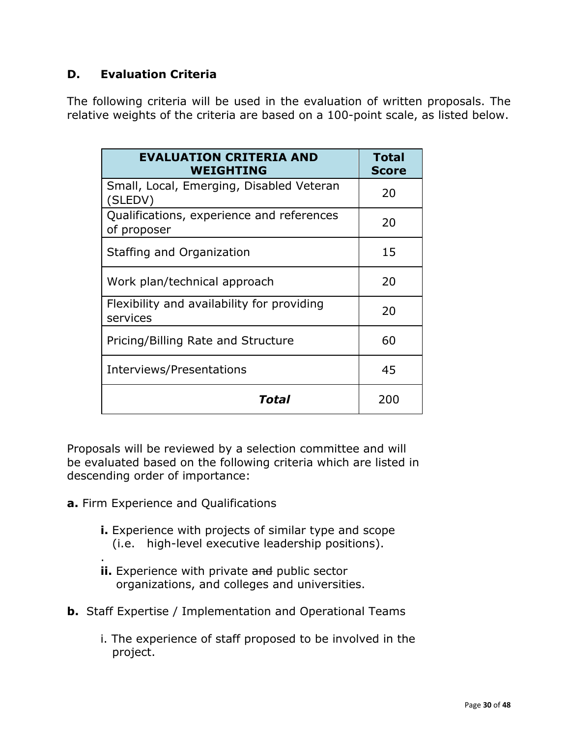## **D. Evaluation Criteria**

The following criteria will be used in the evaluation of written proposals. The relative weights of the criteria are based on a 100-point scale, as listed below.

| <b>EVALUATION CRITERIA AND</b><br><b>WEIGHTING</b>       | <b>Total</b><br><b>Score</b> |
|----------------------------------------------------------|------------------------------|
| Small, Local, Emerging, Disabled Veteran<br>(SLEDV)      | 20                           |
| Qualifications, experience and references<br>of proposer | 20                           |
| Staffing and Organization                                | 15                           |
| Work plan/technical approach                             | 20                           |
| Flexibility and availability for providing<br>services   | 20                           |
| Pricing/Billing Rate and Structure                       | 60                           |
| Interviews/Presentations                                 | 45                           |
| Total                                                    | 200                          |

Proposals will be reviewed by a selection committee and will be evaluated based on the following criteria which are listed in descending order of importance:

- **a.** Firm Experience and Qualifications
	- **i.** Experience with projects of similar type and scope (i.e. high-level executive leadership positions).
	- . **ii.** Experience with private and public sector organizations, and colleges and universities.
- **b.** Staff Expertise / Implementation and Operational Teams
	- i. The experience of staff proposed to be involved in the project.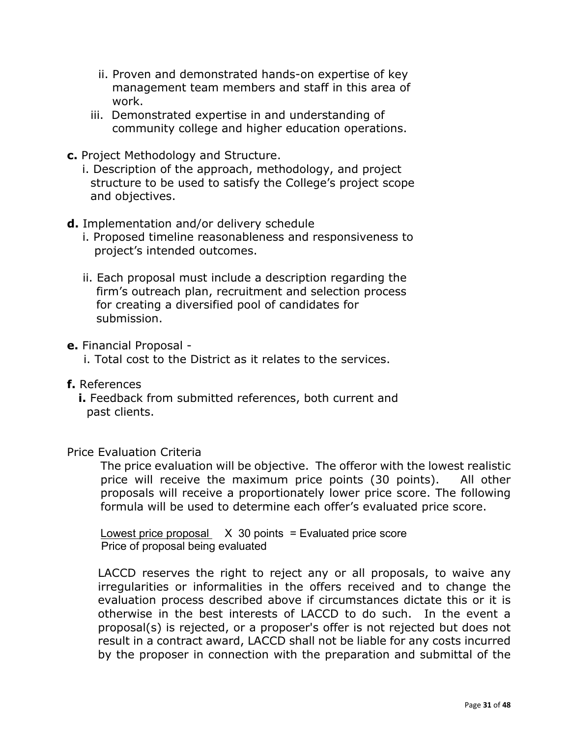- ii. Proven and demonstrated hands-on expertise of key management team members and staff in this area of work.
- iii. Demonstrated expertise in and understanding of community college and higher education operations.
- **c.** Project Methodology and Structure.
	- i. Description of the approach, methodology, and project structure to be used to satisfy the College's project scope and objectives.
- **d.** Implementation and/or delivery schedule
	- i. Proposed timeline reasonableness and responsiveness to project's intended outcomes.
	- ii. Each proposal must include a description regarding the firm's outreach plan, recruitment and selection process for creating a diversified pool of candidates for submission.
- **e.** Financial Proposal
	- i. Total cost to the District as it relates to the services.
- **f.** References
	- **i.** Feedback from submitted references, both current and past clients.

#### Price Evaluation Criteria

The price evaluation will be objective. The offeror with the lowest realistic price will receive the maximum price points (30 points). All other proposals will receive a proportionately lower price score. The following formula will be used to determine each offer's evaluated price score.

Lowest price proposal  $X$  30 points = Evaluated price score Price of proposal being evaluated

LACCD reserves the right to reject any or all proposals, to waive any irregularities or informalities in the offers received and to change the evaluation process described above if circumstances dictate this or it is otherwise in the best interests of LACCD to do such. In the event a proposal(s) is rejected, or a proposer's offer is not rejected but does not result in a contract award, LACCD shall not be liable for any costs incurred by the proposer in connection with the preparation and submittal of the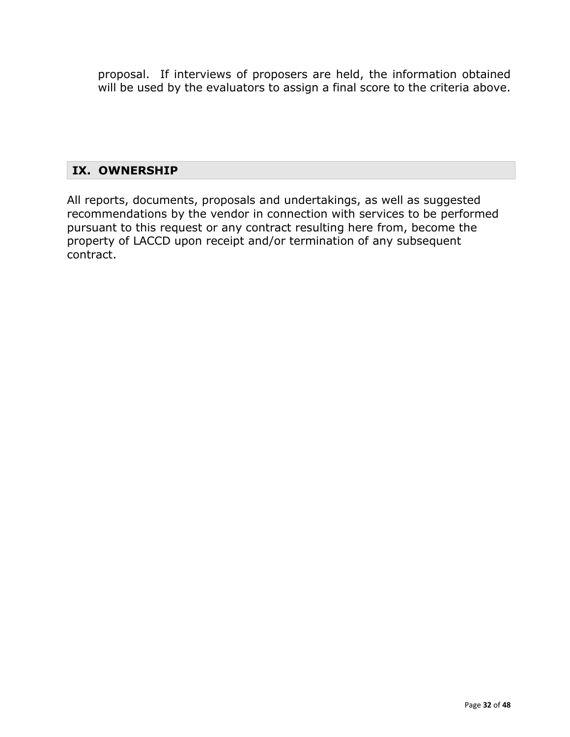proposal. If interviews of proposers are held, the information obtained will be used by the evaluators to assign a final score to the criteria above.

## **IX. OWNERSHIP**

All reports, documents, proposals and undertakings, as well as suggested recommendations by the vendor in connection with services to be performed pursuant to this request or any contract resulting here from, become the property of LACCD upon receipt and/or termination of any subsequent contract.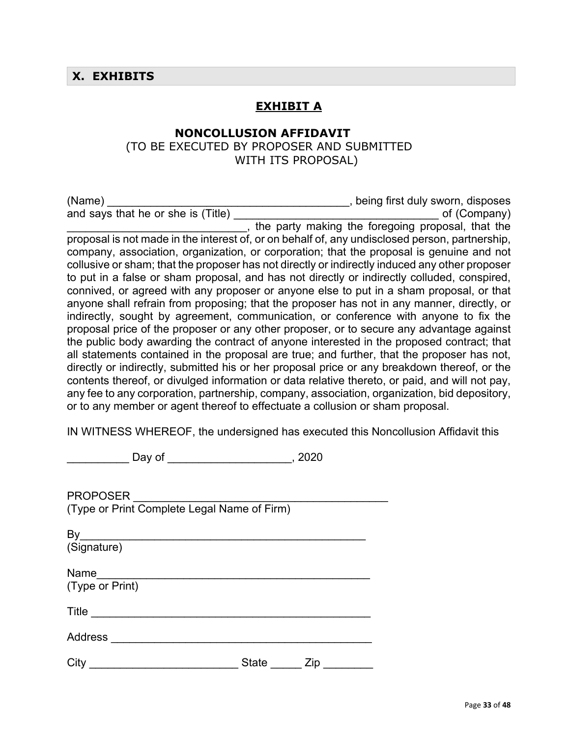## **X. EXHIBITS**

### **EXHIBIT A**

## **NONCOLLUSION AFFIDAVIT**

 (TO BE EXECUTED BY PROPOSER AND SUBMITTED WITH ITS PROPOSAL)

| (Name)                                                                                         | , being first duly sworn, disposes                |
|------------------------------------------------------------------------------------------------|---------------------------------------------------|
| and says that he or she is (Title)                                                             | of (Company)                                      |
|                                                                                                | the party making the foregoing proposal, that the |
| proposal is not made in the interest of, or on behalf of, any undisclosed person, partnership, |                                                   |
| company, association, organization, or corporation; that the proposal is genuine and not       |                                                   |
| collusive or sham; that the proposer has not directly or indirectly induced any other proposer |                                                   |
| to put in a false or sham proposal, and has not directly or indirectly colluded, conspired,    |                                                   |
| connived, or agreed with any proposer or anyone else to put in a sham proposal, or that        |                                                   |
| anyone shall refrain from proposing; that the proposer has not in any manner, directly, or     |                                                   |
| indirectly, sought by agreement, communication, or conference with anyone to fix the           |                                                   |
| proposal price of the proposer or any other proposer, or to secure any advantage against       |                                                   |
| the public body awarding the contract of anyone interested in the proposed contract; that      |                                                   |
| all statements contained in the proposal are true; and further, that the proposer has not,     |                                                   |
| directly or indirectly, submitted his or her proposal price or any breakdown thereof, or the   |                                                   |
| contents thereof, or divulged information or data relative thereto, or paid, and will not pay, |                                                   |
| any fee to any corporation, partnership, company, association, organization, bid depository,   |                                                   |
| or to any member or agent thereof to effectuate a collusion or sham proposal.                  |                                                   |

IN WITNESS WHEREOF, the undersigned has executed this Noncollusion Affidavit this

\_\_\_\_\_\_\_\_\_\_ Day of \_\_\_\_\_\_\_\_\_\_\_\_\_\_\_\_\_\_\_\_, 2020

| <b>PROPOSER</b><br>(Type or Print Complete Legal Name of Firm) |              |     |  |
|----------------------------------------------------------------|--------------|-----|--|
| By<br>(Signature)                                              |              |     |  |
| Name<br>(Type or Print)                                        |              |     |  |
| Title                                                          |              |     |  |
| <b>Address</b>                                                 |              |     |  |
| City                                                           | <b>State</b> | Zip |  |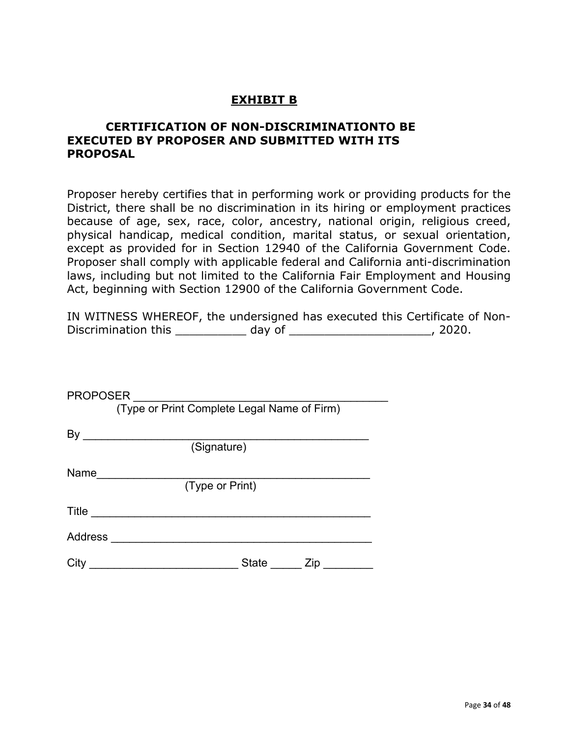## **EXHIBIT B**

#### **CERTIFICATION OF NON-DISCRIMINATIONTO BE EXECUTED BY PROPOSER AND SUBMITTED WITH ITS PROPOSAL**

Proposer hereby certifies that in performing work or providing products for the District, there shall be no discrimination in its hiring or employment practices because of age, sex, race, color, ancestry, national origin, religious creed, physical handicap, medical condition, marital status, or sexual orientation, except as provided for in Section 12940 of the California Government Code. Proposer shall comply with applicable federal and California anti-discrimination laws, including but not limited to the California Fair Employment and Housing Act, beginning with Section 12900 of the California Government Code.

| IN WITNESS WHEREOF, the undersigned has executed this Certificate of Non- |        |         |  |
|---------------------------------------------------------------------------|--------|---------|--|
| Discrimination this                                                       | day of | , 2020. |  |

| <b>PROPOSER</b> |                                             |
|-----------------|---------------------------------------------|
|                 | (Type or Print Complete Legal Name of Firm) |
| Вy              |                                             |
|                 | (Signature)                                 |
| Name            |                                             |
|                 | (Type or Print)                             |
| Title           |                                             |
| Address         |                                             |
| City            | State<br>Zip                                |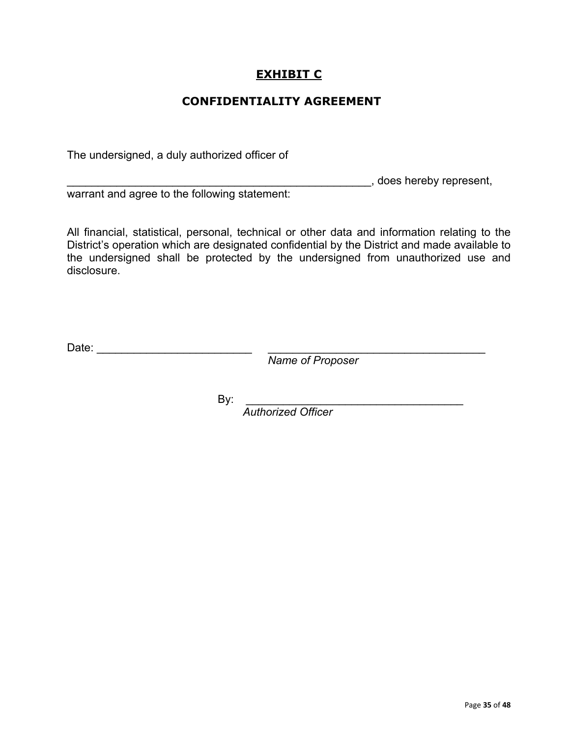## **EXHIBIT C**

## **CONFIDENTIALITY AGREEMENT**

The undersigned, a duly authorized officer of

\_\_\_\_\_\_\_\_\_\_\_\_\_\_\_\_\_\_\_\_\_\_\_\_\_\_\_\_\_\_\_\_\_\_\_\_\_\_\_\_\_\_\_\_\_\_\_\_\_, does hereby represent,

warrant and agree to the following statement:

All financial, statistical, personal, technical or other data and information relating to the District's operation which are designated confidential by the District and made available to the undersigned shall be protected by the undersigned from unauthorized use and disclosure.

Date: \_\_\_\_\_\_\_\_\_\_\_\_\_\_\_\_\_\_\_\_\_\_\_\_\_ \_\_\_\_\_\_\_\_\_\_\_\_\_\_\_\_\_\_\_\_\_\_\_\_\_\_\_\_\_\_\_\_\_\_\_

 *Name of Proposer*

By: \_\_\_\_\_\_\_\_\_\_\_\_\_\_\_\_\_\_\_\_\_\_\_\_\_\_\_\_\_\_\_\_\_\_\_ *Authorized Officer*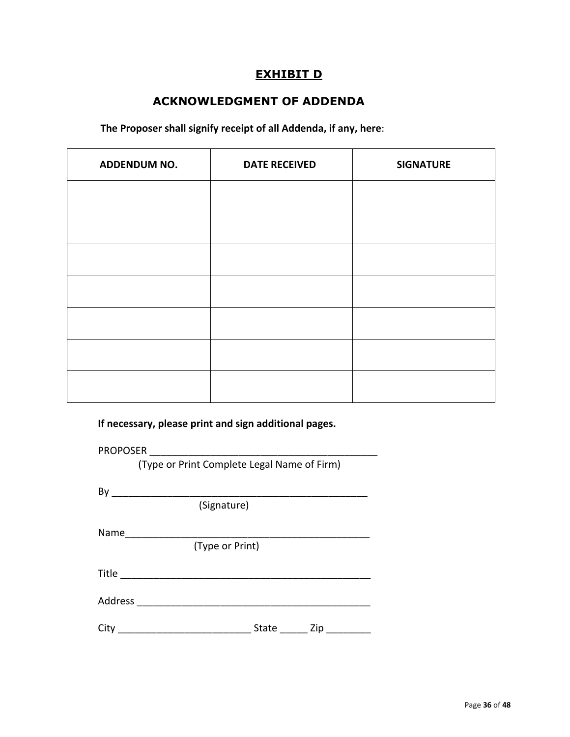### **EXHIBIT D**

# **ACKNOWLEDGMENT OF ADDENDA**

**The Proposer shall signify receipt of all Addenda, if any, here**:

| ADDENDUM NO. | <b>DATE RECEIVED</b> | <b>SIGNATURE</b> |
|--------------|----------------------|------------------|
|              |                      |                  |
|              |                      |                  |
|              |                      |                  |
|              |                      |                  |
|              |                      |                  |
|              |                      |                  |
|              |                      |                  |

**If necessary, please print and sign additional pages.**

| <b>PROPOSER</b>                             |
|---------------------------------------------|
| (Type or Print Complete Legal Name of Firm) |
|                                             |
|                                             |
| (Signature)                                 |
| Name                                        |
| (Type or Print)                             |
| <b>Title</b>                                |
| Address                                     |
|                                             |

City \_\_\_\_\_\_\_\_\_\_\_\_\_\_\_\_\_\_\_\_\_\_\_\_ State \_\_\_\_\_ Zip \_\_\_\_\_\_\_\_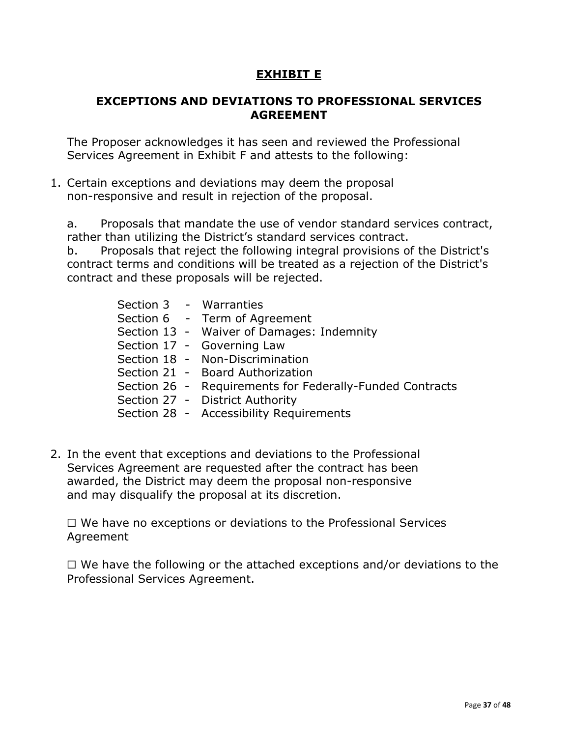## **EXHIBIT E**

### **EXCEPTIONS AND DEVIATIONS TO PROFESSIONAL SERVICES AGREEMENT**

The Proposer acknowledges it has seen and reviewed the Professional Services Agreement in Exhibit F and attests to the following:

1. Certain exceptions and deviations may deem the proposal non-responsive and result in rejection of the proposal.

a. Proposals that mandate the use of vendor standard services contract, rather than utilizing the District's standard services contract.

b. Proposals that reject the following integral provisions of the District's contract terms and conditions will be treated as a rejection of the District's contract and these proposals will be rejected.

|  | Section 3 - Warranties                                   |
|--|----------------------------------------------------------|
|  | Section 6 - Term of Agreement                            |
|  | Section 13 - Waiver of Damages: Indemnity                |
|  | Section 17 - Governing Law                               |
|  | Section 18 - Non-Discrimination                          |
|  | Section 21 - Board Authorization                         |
|  | Section 26 - Requirements for Federally-Funded Contracts |
|  | Section 27 - District Authority                          |
|  | Section 28 - Accessibility Requirements                  |
|  |                                                          |

2. In the event that exceptions and deviations to the Professional Services Agreement are requested after the contract has been awarded, the District may deem the proposal non-responsive and may disqualify the proposal at its discretion.

☐ We have no exceptions or deviations to the Professional Services Agreement

 $\Box$  We have the following or the attached exceptions and/or deviations to the Professional Services Agreement.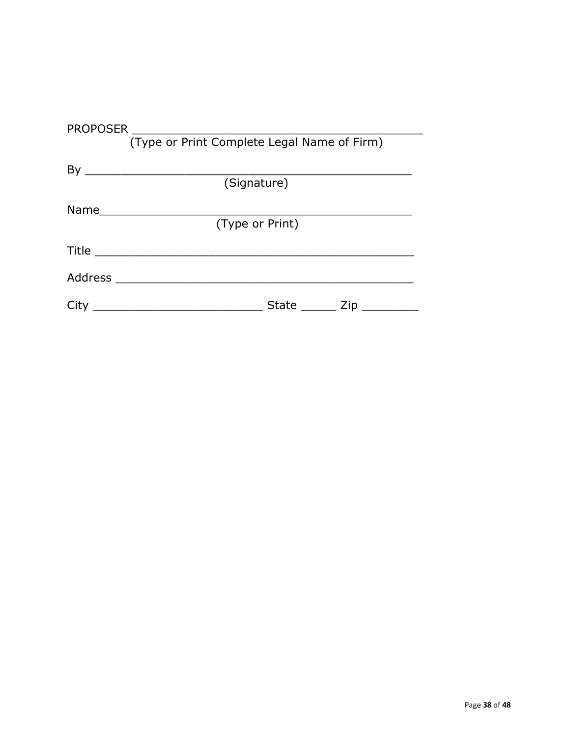| <b>PROPOSER</b>                             |                 |  |  |  |  |  |  |  |  |  |
|---------------------------------------------|-----------------|--|--|--|--|--|--|--|--|--|
| (Type or Print Complete Legal Name of Firm) |                 |  |  |  |  |  |  |  |  |  |
|                                             |                 |  |  |  |  |  |  |  |  |  |
|                                             |                 |  |  |  |  |  |  |  |  |  |
|                                             | (Signature)     |  |  |  |  |  |  |  |  |  |
|                                             |                 |  |  |  |  |  |  |  |  |  |
|                                             | (Type or Print) |  |  |  |  |  |  |  |  |  |
|                                             |                 |  |  |  |  |  |  |  |  |  |
|                                             |                 |  |  |  |  |  |  |  |  |  |
| City                                        | State Zip       |  |  |  |  |  |  |  |  |  |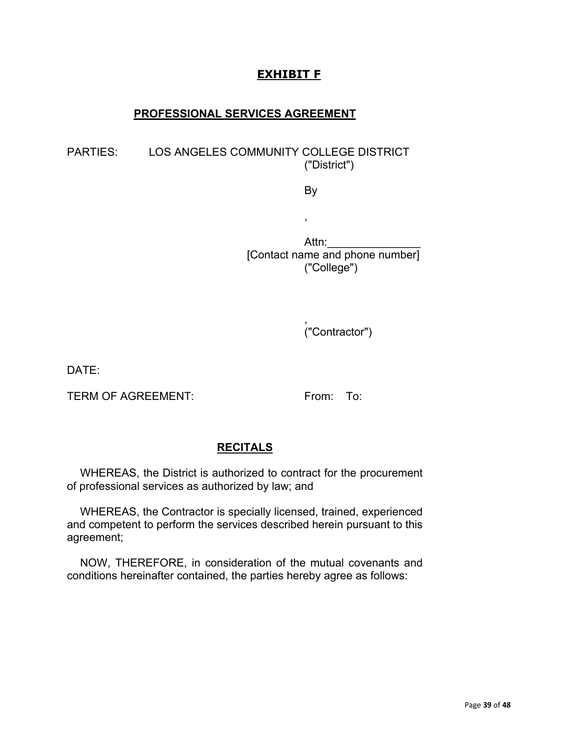## **EXHIBIT F**

#### **PROFESSIONAL SERVICES AGREEMENT**

#### PARTIES: LOS ANGELES COMMUNITY COLLEGE DISTRICT ("District")

By

,

Attn:\_\_\_\_\_\_\_\_\_\_\_\_\_\_\_ [Contact name and phone number] ("College")

> , ("Contractor")

DATE:

TERM OF AGREEMENT: From: To:

### **RECITALS**

WHEREAS, the District is authorized to contract for the procurement of professional services as authorized by law; and

WHEREAS, the Contractor is specially licensed, trained, experienced and competent to perform the services described herein pursuant to this agreement;

NOW, THEREFORE, in consideration of the mutual covenants and conditions hereinafter contained, the parties hereby agree as follows: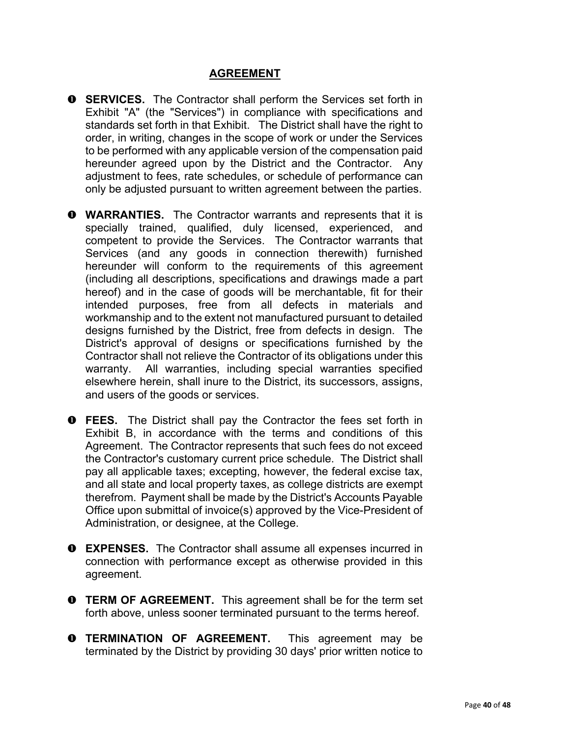### **AGREEMENT**

- **O** SERVICES. The Contractor shall perform the Services set forth in Exhibit "A" (the "Services") in compliance with specifications and standards set forth in that Exhibit. The District shall have the right to order, in writing, changes in the scope of work or under the Services to be performed with any applicable version of the compensation paid hereunder agreed upon by the District and the Contractor. Any adjustment to fees, rate schedules, or schedule of performance can only be adjusted pursuant to written agreement between the parties.
- **WARRANTIES.** The Contractor warrants and represents that it is specially trained, qualified, duly licensed, experienced, and competent to provide the Services. The Contractor warrants that Services (and any goods in connection therewith) furnished hereunder will conform to the requirements of this agreement (including all descriptions, specifications and drawings made a part hereof) and in the case of goods will be merchantable, fit for their intended purposes, free from all defects in materials and workmanship and to the extent not manufactured pursuant to detailed designs furnished by the District, free from defects in design. The District's approval of designs or specifications furnished by the Contractor shall not relieve the Contractor of its obligations under this warranty. All warranties, including special warranties specified elsewhere herein, shall inure to the District, its successors, assigns, and users of the goods or services.
- **O** FEES. The District shall pay the Contractor the fees set forth in Exhibit B, in accordance with the terms and conditions of this Agreement. The Contractor represents that such fees do not exceed the Contractor's customary current price schedule. The District shall pay all applicable taxes; excepting, however, the federal excise tax, and all state and local property taxes, as college districts are exempt therefrom. Payment shall be made by the District's Accounts Payable Office upon submittal of invoice(s) approved by the Vice-President of Administration, or designee, at the College.
- **EXPENSES.** The Contractor shall assume all expenses incurred in connection with performance except as otherwise provided in this agreement.
- **O** TERM OF AGREEMENT. This agreement shall be for the term set forth above, unless sooner terminated pursuant to the terms hereof.
- **O TERMINATION OF AGREEMENT.** This agreement may be terminated by the District by providing 30 days' prior written notice to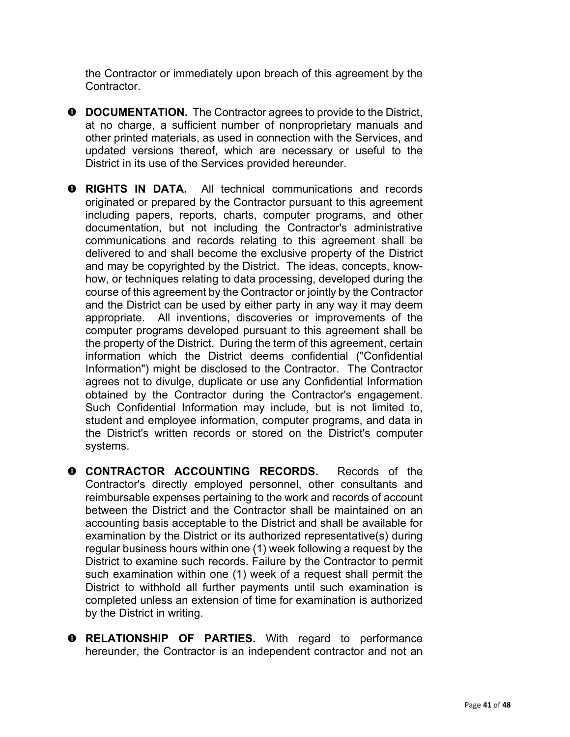the Contractor or immediately upon breach of this agreement by the **Contractor** 

- **O** DOCUMENTATION. The Contractor agrees to provide to the District, at no charge, a sufficient number of nonproprietary manuals and other printed materials, as used in connection with the Services, and updated versions thereof, which are necessary or useful to the District in its use of the Services provided hereunder.
- **RIGHTS IN DATA.** All technical communications and records originated or prepared by the Contractor pursuant to this agreement including papers, reports, charts, computer programs, and other documentation, but not including the Contractor's administrative communications and records relating to this agreement shall be delivered to and shall become the exclusive property of the District and may be copyrighted by the District. The ideas, concepts, knowhow, or techniques relating to data processing, developed during the course of this agreement by the Contractor or jointly by the Contractor and the District can be used by either party in any way it may deem appropriate. All inventions, discoveries or improvements of the computer programs developed pursuant to this agreement shall be the property of the District. During the term of this agreement, certain information which the District deems confidential ("Confidential Information") might be disclosed to the Contractor. The Contractor agrees not to divulge, duplicate or use any Confidential Information obtained by the Contractor during the Contractor's engagement. Such Confidential Information may include, but is not limited to, student and employee information, computer programs, and data in the District's written records or stored on the District's computer systems.
- **O CONTRACTOR ACCOUNTING RECORDS.** Records of the Contractor's directly employed personnel, other consultants and reimbursable expenses pertaining to the work and records of account between the District and the Contractor shall be maintained on an accounting basis acceptable to the District and shall be available for examination by the District or its authorized representative(s) during regular business hours within one (1) week following a request by the District to examine such records. Failure by the Contractor to permit such examination within one (1) week of a request shall permit the District to withhold all further payments until such examination is completed unless an extension of time for examination is authorized by the District in writing.
- **O RELATIONSHIP OF PARTIES.** With regard to performance hereunder, the Contractor is an independent contractor and not an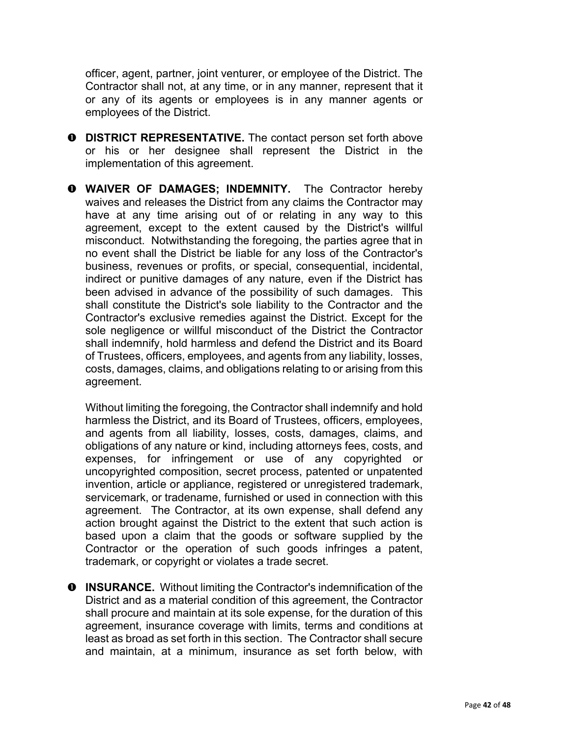officer, agent, partner, joint venturer, or employee of the District. The Contractor shall not, at any time, or in any manner, represent that it or any of its agents or employees is in any manner agents or employees of the District.

- **O** DISTRICT REPRESENTATIVE. The contact person set forth above or his or her designee shall represent the District in the implementation of this agreement.
- **WAIVER OF DAMAGES; INDEMNITY.** The Contractor hereby waives and releases the District from any claims the Contractor may have at any time arising out of or relating in any way to this agreement, except to the extent caused by the District's willful misconduct. Notwithstanding the foregoing, the parties agree that in no event shall the District be liable for any loss of the Contractor's business, revenues or profits, or special, consequential, incidental, indirect or punitive damages of any nature, even if the District has been advised in advance of the possibility of such damages. This shall constitute the District's sole liability to the Contractor and the Contractor's exclusive remedies against the District. Except for the sole negligence or willful misconduct of the District the Contractor shall indemnify, hold harmless and defend the District and its Board of Trustees, officers, employees, and agents from any liability, losses, costs, damages, claims, and obligations relating to or arising from this agreement.

Without limiting the foregoing, the Contractor shall indemnify and hold harmless the District, and its Board of Trustees, officers, employees, and agents from all liability, losses, costs, damages, claims, and obligations of any nature or kind, including attorneys fees, costs, and expenses, for infringement or use of any copyrighted or uncopyrighted composition, secret process, patented or unpatented invention, article or appliance, registered or unregistered trademark, servicemark, or tradename, furnished or used in connection with this agreement. The Contractor, at its own expense, shall defend any action brought against the District to the extent that such action is based upon a claim that the goods or software supplied by the Contractor or the operation of such goods infringes a patent, trademark, or copyright or violates a trade secret.

**O** INSURANCE. Without limiting the Contractor's indemnification of the District and as a material condition of this agreement, the Contractor shall procure and maintain at its sole expense, for the duration of this agreement, insurance coverage with limits, terms and conditions at least as broad as set forth in this section. The Contractor shall secure and maintain, at a minimum, insurance as set forth below, with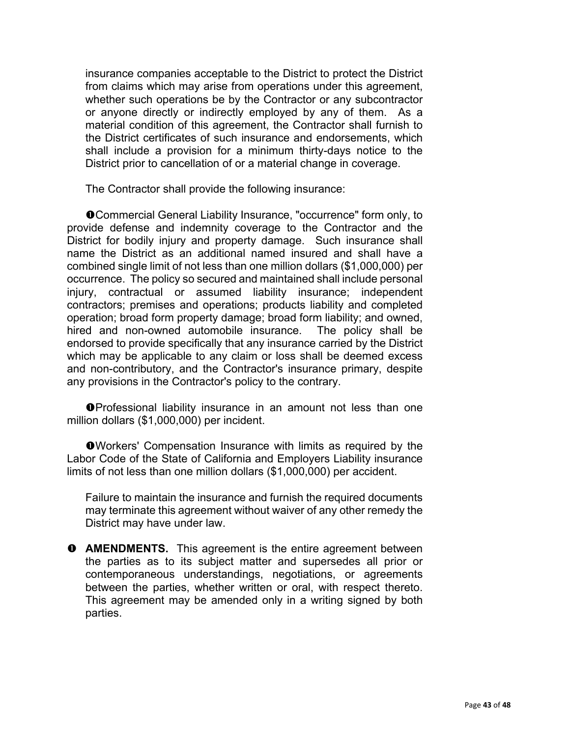insurance companies acceptable to the District to protect the District from claims which may arise from operations under this agreement, whether such operations be by the Contractor or any subcontractor or anyone directly or indirectly employed by any of them. As a material condition of this agreement, the Contractor shall furnish to the District certificates of such insurance and endorsements, which shall include a provision for a minimum thirty-days notice to the District prior to cancellation of or a material change in coverage.

The Contractor shall provide the following insurance:

Commercial General Liability Insurance, "occurrence" form only, to provide defense and indemnity coverage to the Contractor and the District for bodily injury and property damage. Such insurance shall name the District as an additional named insured and shall have a combined single limit of not less than one million dollars (\$1,000,000) per occurrence. The policy so secured and maintained shall include personal injury, contractual or assumed liability insurance; independent contractors; premises and operations; products liability and completed operation; broad form property damage; broad form liability; and owned, hired and non-owned automobile insurance. The policy shall be endorsed to provide specifically that any insurance carried by the District which may be applicable to any claim or loss shall be deemed excess and non-contributory, and the Contractor's insurance primary, despite any provisions in the Contractor's policy to the contrary.

**O**Professional liability insurance in an amount not less than one million dollars (\$1,000,000) per incident.

Workers' Compensation Insurance with limits as required by the Labor Code of the State of California and Employers Liability insurance limits of not less than one million dollars (\$1,000,000) per accident.

Failure to maintain the insurance and furnish the required documents may terminate this agreement without waiver of any other remedy the District may have under law.

**O** AMENDMENTS. This agreement is the entire agreement between the parties as to its subject matter and supersedes all prior or contemporaneous understandings, negotiations, or agreements between the parties, whether written or oral, with respect thereto. This agreement may be amended only in a writing signed by both parties.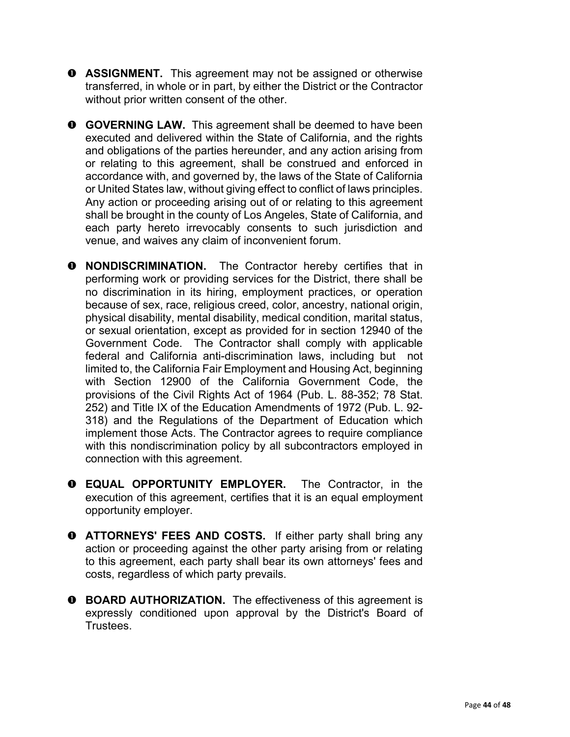- **O** ASSIGNMENT. This agreement may not be assigned or otherwise transferred, in whole or in part, by either the District or the Contractor without prior written consent of the other.
- **O** GOVERNING LAW. This agreement shall be deemed to have been executed and delivered within the State of California, and the rights and obligations of the parties hereunder, and any action arising from or relating to this agreement, shall be construed and enforced in accordance with, and governed by, the laws of the State of California or United States law, without giving effect to conflict of laws principles. Any action or proceeding arising out of or relating to this agreement shall be brought in the county of Los Angeles, State of California, and each party hereto irrevocably consents to such jurisdiction and venue, and waives any claim of inconvenient forum.
- **O** NONDISCRIMINATION. The Contractor hereby certifies that in performing work or providing services for the District, there shall be no discrimination in its hiring, employment practices, or operation because of sex, race, religious creed, color, ancestry, national origin, physical disability, mental disability, medical condition, marital status, or sexual orientation, except as provided for in section 12940 of the Government Code. The Contractor shall comply with applicable federal and California anti-discrimination laws, including but not limited to, the California Fair Employment and Housing Act, beginning with Section 12900 of the California Government Code, the provisions of the Civil Rights Act of 1964 (Pub. L. 88-352; 78 Stat. 252) and Title IX of the Education Amendments of 1972 (Pub. L. 92- 318) and the Regulations of the Department of Education which implement those Acts. The Contractor agrees to require compliance with this nondiscrimination policy by all subcontractors employed in connection with this agreement.
- **EQUAL OPPORTUNITY EMPLOYER.** The Contractor, in the execution of this agreement, certifies that it is an equal employment opportunity employer.
- **ATTORNEYS' FEES AND COSTS.** If either party shall bring any action or proceeding against the other party arising from or relating to this agreement, each party shall bear its own attorneys' fees and costs, regardless of which party prevails.
- **O** BOARD AUTHORIZATION. The effectiveness of this agreement is expressly conditioned upon approval by the District's Board of Trustees.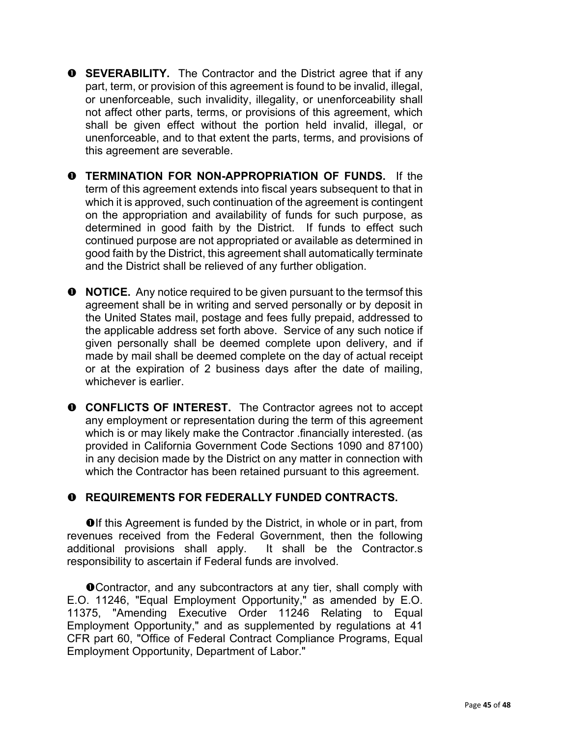- **O** SEVERABILITY. The Contractor and the District agree that if any part, term, or provision of this agreement is found to be invalid, illegal, or unenforceable, such invalidity, illegality, or unenforceability shall not affect other parts, terms, or provisions of this agreement, which shall be given effect without the portion held invalid, illegal, or unenforceable, and to that extent the parts, terms, and provisions of this agreement are severable.
- **TERMINATION FOR NON-APPROPRIATION OF FUNDS.** If the term of this agreement extends into fiscal years subsequent to that in which it is approved, such continuation of the agreement is contingent on the appropriation and availability of funds for such purpose, as determined in good faith by the District. If funds to effect such continued purpose are not appropriated or available as determined in good faith by the District, this agreement shall automatically terminate and the District shall be relieved of any further obligation.
- **O** NOTICE. Any notice required to be given pursuant to the terms of this agreement shall be in writing and served personally or by deposit in the United States mail, postage and fees fully prepaid, addressed to the applicable address set forth above. Service of any such notice if given personally shall be deemed complete upon delivery, and if made by mail shall be deemed complete on the day of actual receipt or at the expiration of 2 business days after the date of mailing, whichever is earlier.
- **O** CONFLICTS OF INTEREST. The Contractor agrees not to accept any employment or representation during the term of this agreement which is or may likely make the Contractor .financially interested. (as provided in California Government Code Sections 1090 and 87100) in any decision made by the District on any matter in connection with which the Contractor has been retained pursuant to this agreement.

#### **REQUIREMENTS FOR FEDERALLY FUNDED CONTRACTS.**

**O**If this Agreement is funded by the District, in whole or in part, from revenues received from the Federal Government, then the following additional provisions shall apply. It shall be the Contractor.s responsibility to ascertain if Federal funds are involved.

**O**Contractor, and any subcontractors at any tier, shall comply with E.O. 11246, "Equal Employment Opportunity," as amended by E.O. 11375, "Amending Executive Order 11246 Relating to Equal Employment Opportunity," and as supplemented by regulations at 41 CFR part 60, "Office of Federal Contract Compliance Programs, Equal Employment Opportunity, Department of Labor."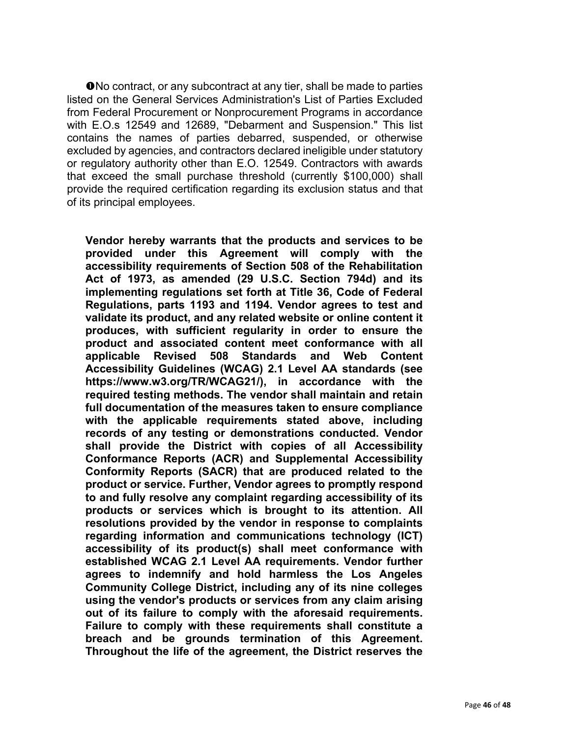**O**No contract, or any subcontract at any tier, shall be made to parties listed on the General Services Administration's List of Parties Excluded from Federal Procurement or Nonprocurement Programs in accordance with E.O.s 12549 and 12689, "Debarment and Suspension." This list contains the names of parties debarred, suspended, or otherwise excluded by agencies, and contractors declared ineligible under statutory or regulatory authority other than E.O. 12549. Contractors with awards that exceed the small purchase threshold (currently \$100,000) shall provide the required certification regarding its exclusion status and that of its principal employees.

**Vendor hereby warrants that the products and services to be provided under this Agreement will comply with the accessibility requirements of Section 508 of the Rehabilitation Act of 1973, as amended (29 U.S.C. Section 794d) and its implementing regulations set forth at Title 36, Code of Federal Regulations, parts 1193 and 1194. Vendor agrees to test and validate its product, and any related website or online content it produces, with sufficient regularity in order to ensure the product and associated content meet conformance with all applicable Revised 508 Standards and Web Content Accessibility Guidelines (WCAG) 2.1 Level AA standards (see https://www.w3.org/TR/WCAG21/), in accordance with the required testing methods. The vendor shall maintain and retain full documentation of the measures taken to ensure compliance with the applicable requirements stated above, including records of any testing or demonstrations conducted. Vendor shall provide the District with copies of all Accessibility Conformance Reports (ACR) and Supplemental Accessibility Conformity Reports (SACR) that are produced related to the product or service. Further, Vendor agrees to promptly respond to and fully resolve any complaint regarding accessibility of its products or services which is brought to its attention. All resolutions provided by the vendor in response to complaints regarding information and communications technology (ICT) accessibility of its product(s) shall meet conformance with established WCAG 2.1 Level AA requirements. Vendor further agrees to indemnify and hold harmless the Los Angeles Community College District, including any of its nine colleges using the vendor's products or services from any claim arising out of its failure to comply with the aforesaid requirements. Failure to comply with these requirements shall constitute a breach and be grounds termination of this Agreement. Throughout the life of the agreement, the District reserves the**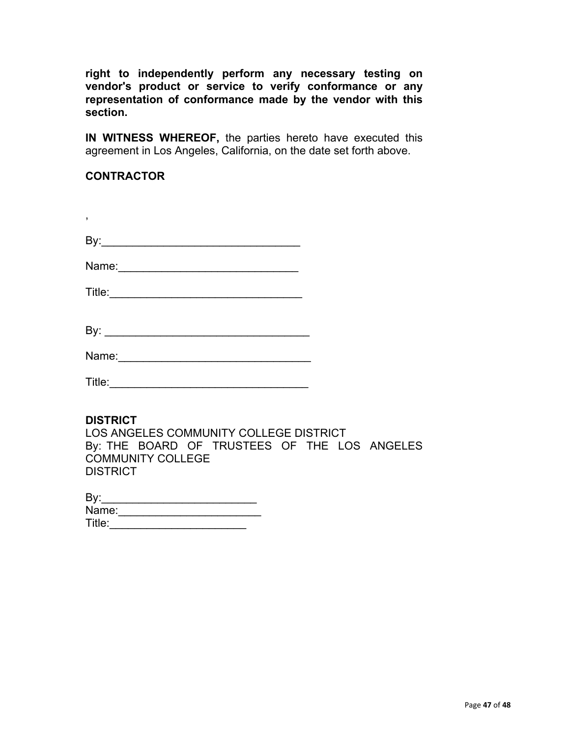**right to independently perform any necessary testing on vendor's product or service to verify conformance or any representation of conformance made by the vendor with this section.**

**IN WITNESS WHEREOF,** the parties hereto have executed this agreement in Los Angeles, California, on the date set forth above.

#### **CONTRACTOR**

,

| D<br>DV. |  |
|----------|--|
|          |  |

| Name: |  |  |  |
|-------|--|--|--|
|       |  |  |  |

| Title: |  |  |  |  |  |  |  |
|--------|--|--|--|--|--|--|--|
|        |  |  |  |  |  |  |  |

| By: |  |
|-----|--|
|     |  |

| Name: |  |  |  |  |  |
|-------|--|--|--|--|--|
|       |  |  |  |  |  |

| Title: |  |  |  |  |  |  |  |
|--------|--|--|--|--|--|--|--|
|        |  |  |  |  |  |  |  |

#### **DISTRICT**

LOS ANGELES COMMUNITY COLLEGE DISTRICT By: THE BOARD OF TRUSTEES OF THE LOS ANGELES COMMUNITY COLLEGE **DISTRICT** 

| By:    |  |  |  |
|--------|--|--|--|
| Name:  |  |  |  |
| Title: |  |  |  |